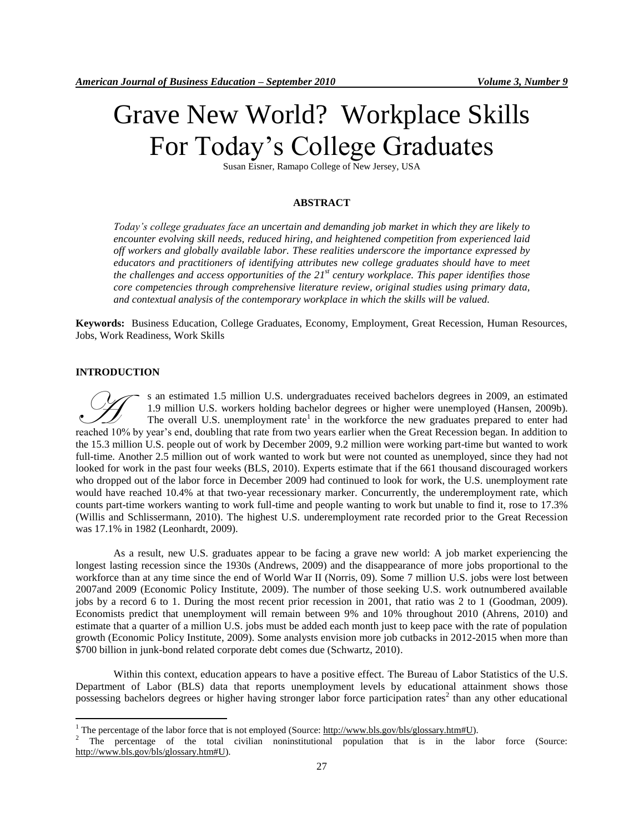# Grave New World? Workplace Skills For Today"s College Graduates

Susan Eisner, Ramapo College of New Jersey, USA

# **ABSTRACT**

*Today's college graduates face an uncertain and demanding job market in which they are likely to encounter evolving skill needs, reduced hiring, and heightened competition from experienced laid off workers and globally available labor. These realities underscore the importance expressed by educators and practitioners of identifying attributes new college graduates should have to meet the challenges and access opportunities of the 21st century workplace. This paper identifies those core competencies through comprehensive literature review, original studies using primary data, and contextual analysis of the contemporary workplace in which the skills will be valued.* 

**Keywords:** Business Education, College Graduates, Economy, Employment, Great Recession, Human Resources, Jobs, Work Readiness, Work Skills

#### **INTRODUCTION**

 $\overline{a}$ 

s an estimated 1.5 million U.S. undergraduates received bachelors degrees in 2009, an estimated 1.9 million U.S. workers holding bachelor degrees or higher were unemployed (Hansen, 2009b). The overall U.S. unemployment rate<sup>1</sup> in the workforce the new graduates prepared to enter had <sup>s</sup> an estimated 1.5 million U.S. undergraduates received bachelors degrees in 2009, an estimated 1.9 million U.S. workers holding bachelor degrees or higher were unemployed (Hansen, 2009b). The overall U.S. unemployment r the 15.3 million U.S. people out of work by December 2009, 9.2 million were working part-time but wanted to work full-time. Another 2.5 million out of work wanted to work but were not counted as unemployed, since they had not looked for work in the past four weeks (BLS, 2010). Experts estimate that if the 661 thousand discouraged workers who dropped out of the labor force in December 2009 had continued to look for work, the U.S. unemployment rate would have reached 10.4% at that two-year recessionary marker. Concurrently, the underemployment rate, which counts part-time workers wanting to work full-time and people wanting to work but unable to find it, rose to 17.3% (Willis and Schlissermann, 2010). The highest U.S. underemployment rate recorded prior to the Great Recession was 17.1% in 1982 (Leonhardt, 2009).

As a result, new U.S. graduates appear to be facing a grave new world: A job market experiencing the longest lasting recession since the 1930s (Andrews, 2009) and the disappearance of more jobs proportional to the workforce than at any time since the end of World War II (Norris, 09). Some 7 million U.S. jobs were lost between 2007and 2009 (Economic Policy Institute, 2009). The number of those seeking U.S. work outnumbered available jobs by a record 6 to 1. During the most recent prior recession in 2001, that ratio was 2 to 1 (Goodman, 2009). Economists predict that unemployment will remain between 9% and 10% throughout 2010 (Ahrens, 2010) and estimate that a quarter of a million U.S. jobs must be added each month just to keep pace with the rate of population growth (Economic Policy Institute, 2009). Some analysts envision more job cutbacks in 2012-2015 when more than \$700 billion in junk-bond related corporate debt comes due (Schwartz, 2010).

Within this context, education appears to have a positive effect. The Bureau of Labor Statistics of the U.S. Department of Labor (BLS) data that reports unemployment levels by educational attainment shows those possessing bachelors degrees or higher having stronger labor force participation rates<sup>2</sup> than any other educational

<sup>&</sup>lt;sup>1</sup> The percentage of the labor force that is not employed (Source:  $\frac{http://www.bls.gov/bls/glossary.html/U}{http://www.bls.gov/bls/glossary.html/U}$ ).

<sup>2</sup> The percentage of the total civilian noninstitutional population that is in the labor force (Source: [http://www.bls.gov/bls/glossary.htm#U\)](http://www.bls.gov/bls/glossary.htm#U).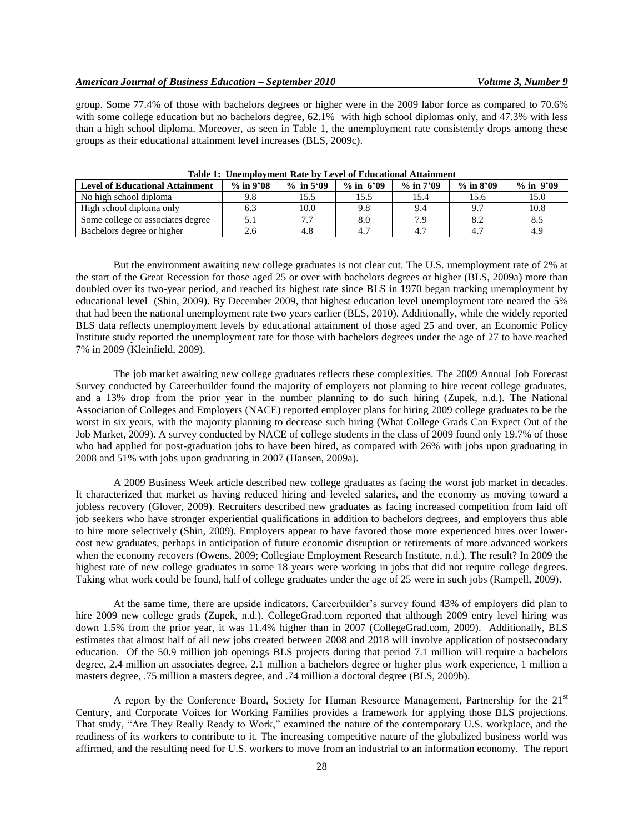group. Some 77.4% of those with bachelors degrees or higher were in the 2009 labor force as compared to 70.6% with some college education but no bachelors degree, 62.1% with high school diplomas only, and 47.3% with less than a high school diploma. Moreover, as seen in Table 1, the unemployment rate consistently drops among these groups as their educational attainment level increases (BLS, 2009c).

| <b>Level of Educational Attainment</b> | $%$ in 9'08 | $\%$ in 5.09 | $\%$ in 6'09 | $\%$ in 7'09 | $\%$ in 8'09 | $\%$ in $9'09$ |  |
|----------------------------------------|-------------|--------------|--------------|--------------|--------------|----------------|--|
| No high school diploma                 | 9.8         |              | 15.5         | 15.4         |              | 15.0           |  |
| High school diploma only               | 6.3         | 10.0         | 9.8          | 9.4          |              | 10.8           |  |
| Some college or associates degree      |             |              | $_{\rm 8.0}$ | 7 C          |              | 8.5            |  |
| Bachelors degree or higher             | 2.6         |              |              |              |              | 4.9            |  |

**Table 1: Unemployment Rate by Level of Educational Attainment**

But the environment awaiting new college graduates is not clear cut. The U.S. unemployment rate of 2% at the start of the Great Recession for those aged 25 or over with bachelors degrees or higher (BLS, 2009a) more than doubled over its two-year period, and reached its highest rate since BLS in 1970 began tracking unemployment by educational level (Shin, 2009). By December 2009, that highest education level unemployment rate neared the 5% that had been the national unemployment rate two years earlier (BLS, 2010). Additionally, while the widely reported BLS data reflects unemployment levels by educational attainment of those aged 25 and over, an Economic Policy Institute study reported the unemployment rate for those with bachelors degrees under the age of 27 to have reached 7% in 2009 (Kleinfield, 2009).

The job market awaiting new college graduates reflects these complexities. The 2009 Annual Job Forecast Survey conducted by Careerbuilder found the majority of employers not planning to hire recent college graduates, and a 13% drop from the prior year in the number planning to do such hiring (Zupek, n.d.). The National Association of Colleges and Employers (NACE) reported employer plans for hiring 2009 college graduates to be the worst in six years, with the majority planning to decrease such hiring (What College Grads Can Expect Out of the Job Market, 2009). A survey conducted by NACE of college students in the class of 2009 found only 19.7% of those who had applied for post-graduation jobs to have been hired, as compared with 26% with jobs upon graduating in 2008 and 51% with jobs upon graduating in 2007 (Hansen, 2009a).

A 2009 Business Week article described new college graduates as facing the worst job market in decades. It characterized that market as having reduced hiring and leveled salaries, and the economy as moving toward a jobless recovery (Glover, 2009). Recruiters described new graduates as facing increased competition from laid off job seekers who have stronger experiential qualifications in addition to bachelors degrees, and employers thus able to hire more selectively (Shin, 2009). Employers appear to have favored those more experienced hires over lowercost new graduates, perhaps in anticipation of future economic disruption or retirements of more advanced workers when the economy recovers (Owens, 2009; Collegiate Employment Research Institute, n.d.). The result? In 2009 the highest rate of new college graduates in some 18 years were working in jobs that did not require college degrees. Taking what work could be found, half of college graduates under the age of 25 were in such jobs (Rampell, 2009).

At the same time, there are upside indicators. Careerbuilder"s survey found 43% of employers did plan to hire 2009 new college grads (Zupek, n.d.). CollegeGrad.com reported that although 2009 entry level hiring was down 1.5% from the prior year, it was 11.4% higher than in 2007 (CollegeGrad.com, 2009). Additionally, BLS estimates that almost half of all new jobs created between 2008 and 2018 will involve application of postsecondary education. Of the 50.9 million job openings BLS projects during that period 7.1 million will require a bachelors degree, 2.4 million an associates degree, 2.1 million a bachelors degree or higher plus work experience, 1 million a masters degree, .75 million a masters degree, and .74 million a doctoral degree (BLS, 2009b).

A report by the Conference Board, Society for Human Resource Management, Partnership for the  $21<sup>st</sup>$ Century, and Corporate Voices for Working Families provides a framework for applying those BLS projections. That study, "Are They Really Ready to Work," examined the nature of the contemporary U.S. workplace, and the readiness of its workers to contribute to it. The increasing competitive nature of the globalized business world was affirmed, and the resulting need for U.S. workers to move from an industrial to an information economy. The report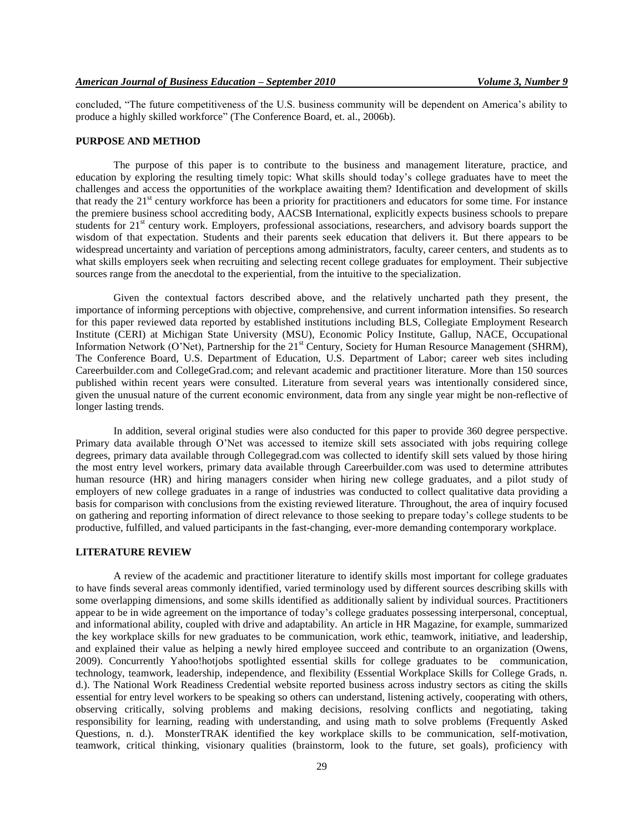concluded, "The future competitiveness of the U.S. business community will be dependent on America's ability to produce a highly skilled workforce" (The Conference Board, et. al., 2006b).

#### **PURPOSE AND METHOD**

The purpose of this paper is to contribute to the business and management literature, practice, and education by exploring the resulting timely topic: What skills should today"s college graduates have to meet the challenges and access the opportunities of the workplace awaiting them? Identification and development of skills that ready the 21<sup>st</sup> century workforce has been a priority for practitioners and educators for some time. For instance the premiere business school accrediting body, AACSB International, explicitly expects business schools to prepare students for 21<sup>st</sup> century work. Employers, professional associations, researchers, and advisory boards support the wisdom of that expectation. Students and their parents seek education that delivers it. But there appears to be widespread uncertainty and variation of perceptions among administrators, faculty, career centers, and students as to what skills employers seek when recruiting and selecting recent college graduates for employment. Their subjective sources range from the anecdotal to the experiential, from the intuitive to the specialization.

Given the contextual factors described above, and the relatively uncharted path they present, the importance of informing perceptions with objective, comprehensive, and current information intensifies. So research for this paper reviewed data reported by established institutions including BLS, Collegiate Employment Research Institute (CERI) at Michigan State University (MSU), Economic Policy Institute, Gallup, NACE, Occupational Information Network (O'Net), Partnership for the 21<sup>st</sup> Century, Society for Human Resource Management (SHRM), The Conference Board, U.S. Department of Education, U.S. Department of Labor; career web sites including Careerbuilder.com and CollegeGrad.com; and relevant academic and practitioner literature. More than 150 sources published within recent years were consulted. Literature from several years was intentionally considered since, given the unusual nature of the current economic environment, data from any single year might be non-reflective of longer lasting trends.

In addition, several original studies were also conducted for this paper to provide 360 degree perspective. Primary data available through O"Net was accessed to itemize skill sets associated with jobs requiring college degrees, primary data available through Collegegrad.com was collected to identify skill sets valued by those hiring the most entry level workers, primary data available through Careerbuilder.com was used to determine attributes human resource (HR) and hiring managers consider when hiring new college graduates, and a pilot study of employers of new college graduates in a range of industries was conducted to collect qualitative data providing a basis for comparison with conclusions from the existing reviewed literature. Throughout, the area of inquiry focused on gathering and reporting information of direct relevance to those seeking to prepare today"s college students to be productive, fulfilled, and valued participants in the fast-changing, ever-more demanding contemporary workplace.

#### **LITERATURE REVIEW**

A review of the academic and practitioner literature to identify skills most important for college graduates to have finds several areas commonly identified, varied terminology used by different sources describing skills with some overlapping dimensions, and some skills identified as additionally salient by individual sources. Practitioners appear to be in wide agreement on the importance of today"s college graduates possessing interpersonal, conceptual, and informational ability, coupled with drive and adaptability. An article in HR Magazine, for example, summarized the key workplace skills for new graduates to be communication, work ethic, teamwork, initiative, and leadership, and explained their value as helping a newly hired employee succeed and contribute to an organization (Owens, 2009). Concurrently Yahoo!hotjobs spotlighted essential skills for college graduates to be communication, technology, teamwork, leadership, independence, and flexibility (Essential Workplace Skills for College Grads, n. d.). The National Work Readiness Credential website reported business across industry sectors as citing the skills essential for entry level workers to be speaking so others can understand, listening actively, cooperating with others, observing critically, solving problems and making decisions, resolving conflicts and negotiating, taking responsibility for learning, reading with understanding, and using math to solve problems (Frequently Asked Questions, n. d.). MonsterTRAK identified the key workplace skills to be communication, self-motivation, teamwork, critical thinking, visionary qualities (brainstorm, look to the future, set goals), proficiency with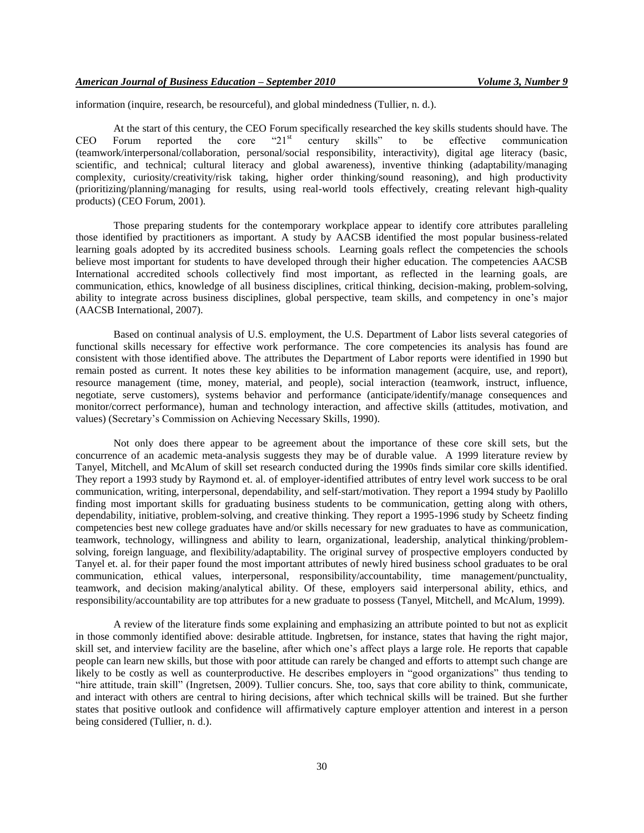information (inquire, research, be resourceful), and global mindedness (Tullier, n. d.).

At the start of this century, the CEO Forum specifically researched the key skills students should have. The Forum reported the core "21<sup>st</sup> century skills" to be effective communication CEO Forum reported the core " $21<sup>st</sup>$  century skills" to be effective communication (teamwork/interpersonal/collaboration, personal/social responsibility, interactivity), digital age literacy (basic, scientific, and technical; cultural literacy and global awareness), inventive thinking (adaptability/managing complexity, curiosity/creativity/risk taking, higher order thinking/sound reasoning), and high productivity (prioritizing/planning/managing for results, using real-world tools effectively, creating relevant high-quality products) (CEO Forum, 2001).

Those preparing students for the contemporary workplace appear to identify core attributes paralleling those identified by practitioners as important. A study by AACSB identified the most popular business-related learning goals adopted by its accredited business schools. Learning goals reflect the competencies the schools believe most important for students to have developed through their higher education. The competencies AACSB International accredited schools collectively find most important, as reflected in the learning goals, are communication, ethics, knowledge of all business disciplines, critical thinking, decision-making, problem-solving, ability to integrate across business disciplines, global perspective, team skills, and competency in one"s major (AACSB International, 2007).

Based on continual analysis of U.S. employment, the U.S. Department of Labor lists several categories of functional skills necessary for effective work performance. The core competencies its analysis has found are consistent with those identified above. The attributes the Department of Labor reports were identified in 1990 but remain posted as current. It notes these key abilities to be information management (acquire, use, and report), resource management (time, money, material, and people), social interaction (teamwork, instruct, influence, negotiate, serve customers), systems behavior and performance (anticipate/identify/manage consequences and monitor/correct performance), human and technology interaction, and affective skills (attitudes, motivation, and values) (Secretary"s Commission on Achieving Necessary Skills, 1990).

Not only does there appear to be agreement about the importance of these core skill sets, but the concurrence of an academic meta-analysis suggests they may be of durable value. A 1999 literature review by Tanyel, Mitchell, and McAlum of skill set research conducted during the 1990s finds similar core skills identified. They report a 1993 study by Raymond et. al. of employer-identified attributes of entry level work success to be oral communication, writing, interpersonal, dependability, and self-start/motivation. They report a 1994 study by Paolillo finding most important skills for graduating business students to be communication, getting along with others, dependability, initiative, problem-solving, and creative thinking. They report a 1995-1996 study by Scheetz finding competencies best new college graduates have and/or skills necessary for new graduates to have as communication, teamwork, technology, willingness and ability to learn, organizational, leadership, analytical thinking/problemsolving, foreign language, and flexibility/adaptability. The original survey of prospective employers conducted by Tanyel et. al. for their paper found the most important attributes of newly hired business school graduates to be oral communication, ethical values, interpersonal, responsibility/accountability, time management/punctuality, teamwork, and decision making/analytical ability. Of these, employers said interpersonal ability, ethics, and responsibility/accountability are top attributes for a new graduate to possess (Tanyel, Mitchell, and McAlum, 1999).

A review of the literature finds some explaining and emphasizing an attribute pointed to but not as explicit in those commonly identified above: desirable attitude. Ingbretsen, for instance, states that having the right major, skill set, and interview facility are the baseline, after which one"s affect plays a large role. He reports that capable people can learn new skills, but those with poor attitude can rarely be changed and efforts to attempt such change are likely to be costly as well as counterproductive. He describes employers in "good organizations" thus tending to "hire attitude, train skill" (Ingretsen, 2009). Tullier concurs. She, too, says that core ability to think, communicate, and interact with others are central to hiring decisions, after which technical skills will be trained. But she further states that positive outlook and confidence will affirmatively capture employer attention and interest in a person being considered (Tullier, n. d.).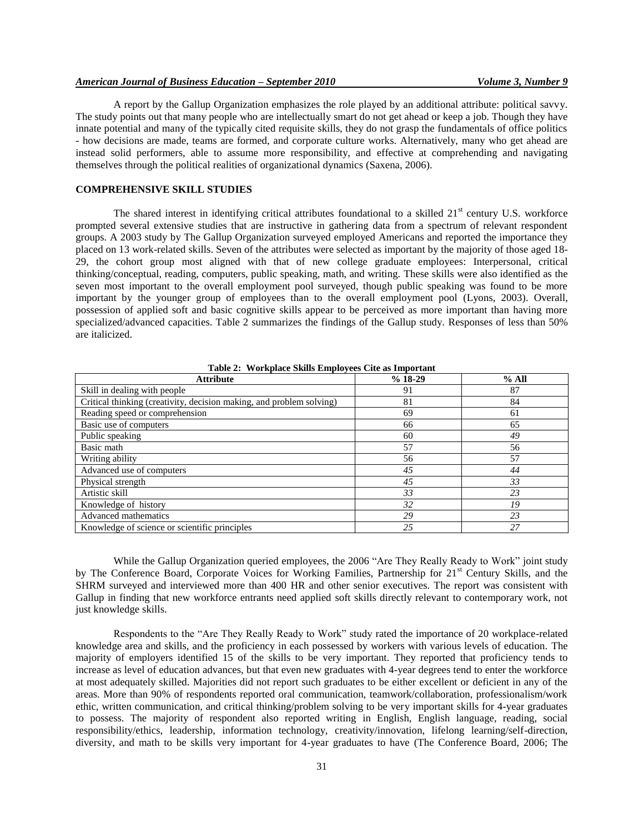A report by the Gallup Organization emphasizes the role played by an additional attribute: political savvy. The study points out that many people who are intellectually smart do not get ahead or keep a job. Though they have innate potential and many of the typically cited requisite skills, they do not grasp the fundamentals of office politics - how decisions are made, teams are formed, and corporate culture works. Alternatively, many who get ahead are instead solid performers, able to assume more responsibility, and effective at comprehending and navigating themselves through the political realities of organizational dynamics (Saxena, 2006).

## **COMPREHENSIVE SKILL STUDIES**

The shared interest in identifying critical attributes foundational to a skilled  $21<sup>st</sup>$  century U.S. workforce prompted several extensive studies that are instructive in gathering data from a spectrum of relevant respondent groups. A 2003 study by The Gallup Organization surveyed employed Americans and reported the importance they placed on 13 work-related skills. Seven of the attributes were selected as important by the majority of those aged 18- 29, the cohort group most aligned with that of new college graduate employees: Interpersonal, critical thinking/conceptual, reading, computers, public speaking, math, and writing. These skills were also identified as the seven most important to the overall employment pool surveyed, though public speaking was found to be more important by the younger group of employees than to the overall employment pool (Lyons, 2003). Overall, possession of applied soft and basic cognitive skills appear to be perceived as more important than having more specialized/advanced capacities. Table 2 summarizes the findings of the Gallup study. Responses of less than 50% are italicized.

| <b>Attribute</b>                                                     | $%18-29$ | % All |
|----------------------------------------------------------------------|----------|-------|
| Skill in dealing with people                                         | 91       | 87    |
| Critical thinking (creativity, decision making, and problem solving) | 81       | 84    |
| Reading speed or comprehension                                       | 69       | 61    |
| Basic use of computers                                               | 66       | 65    |
| Public speaking                                                      | 60       | 49    |
| Basic math                                                           | 57       | 56    |
| Writing ability                                                      | 56       | 57    |
| Advanced use of computers                                            | 45       | 44    |
| Physical strength                                                    | 45       | 33    |
| Artistic skill                                                       | 33       | 23    |
| Knowledge of history                                                 | 32       | 19    |
| Advanced mathematics                                                 | 29       | 23    |
| Knowledge of science or scientific principles                        | 25       | 27    |

**Table 2: Workplace Skills Employees Cite as Important**

While the Gallup Organization queried employees, the 2006 "Are They Really Ready to Work" joint study by The Conference Board, Corporate Voices for Working Families, Partnership for 21<sup>st</sup> Century Skills, and the SHRM surveyed and interviewed more than 400 HR and other senior executives. The report was consistent with Gallup in finding that new workforce entrants need applied soft skills directly relevant to contemporary work, not just knowledge skills.

Respondents to the "Are They Really Ready to Work" study rated the importance of 20 workplace-related knowledge area and skills, and the proficiency in each possessed by workers with various levels of education. The majority of employers identified 15 of the skills to be very important. They reported that proficiency tends to increase as level of education advances, but that even new graduates with 4-year degrees tend to enter the workforce at most adequately skilled. Majorities did not report such graduates to be either excellent or deficient in any of the areas. More than 90% of respondents reported oral communication, teamwork/collaboration, professionalism/work ethic, written communication, and critical thinking/problem solving to be very important skills for 4-year graduates to possess. The majority of respondent also reported writing in English, English language, reading, social responsibility/ethics, leadership, information technology, creativity/innovation, lifelong learning/self-direction, diversity, and math to be skills very important for 4-year graduates to have (The Conference Board, 2006; The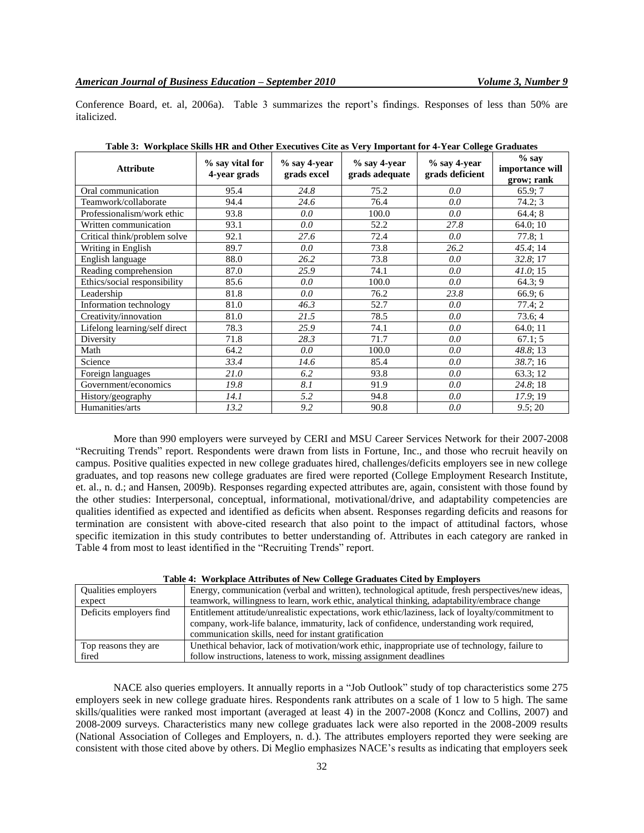Conference Board, et. al, 2006a). Table 3 summarizes the report"s findings. Responses of less than 50% are italicized.

| <b>Attribute</b>              | % say vital for<br>4-year grads | $\%$ say 4-year<br>grads excel | $\%$ say 4-year<br>grads adequate | % say 4-year<br>grads deficient | $%$ sav<br>importance will<br>grow; rank |
|-------------------------------|---------------------------------|--------------------------------|-----------------------------------|---------------------------------|------------------------------------------|
| Oral communication            | 95.4                            | 24.8                           | 75.2                              | 0.0                             | 65.9;7                                   |
| Teamwork/collaborate          | 94.4                            | 24.6                           | 76.4                              | 0.0                             | 74.2; 3                                  |
| Professionalism/work ethic    | 93.8                            | 0.0                            | 100.0                             | 0.0                             | 64.4;8                                   |
| Written communication         | 93.1                            | 0.0                            | 52.2                              | 27.8                            | 64.0;10                                  |
| Critical think/problem solve  | 92.1                            | 27.6                           | 72.4                              | 0.0                             | 77.8;1                                   |
| Writing in English            | 89.7                            | 0.0                            | 73.8                              | 26.2                            | 45.4; 14                                 |
| English language              | 88.0                            | 26.2                           | 73.8                              | 0.0                             | 32.8;17                                  |
| Reading comprehension         | 87.0                            | 25.9                           | 74.1                              | 0.0                             | 41.0; 15                                 |
| Ethics/social responsibility  | 85.6                            | 0.0                            | 100.0                             | 0.0                             | 64.3; 9                                  |
| Leadership                    | 81.8                            | 0.0                            | 76.2                              | 23.8                            | 66.9;6                                   |
| Information technology        | 81.0                            | 46.3                           | 52.7                              | 0.0                             | 77.4; 2                                  |
| Creativity/innovation         | 81.0                            | 21.5                           | 78.5                              | 0.0                             | 73.6; 4                                  |
| Lifelong learning/self direct | 78.3                            | 25.9                           | 74.1                              | 0.0                             | 64.0; 11                                 |
| Diversity                     | 71.8                            | 28.3                           | 71.7                              | 0.0                             | 67.1; 5                                  |
| Math                          | 64.2                            | 0.0                            | 100.0                             | 0.0                             | 48.8; 13                                 |
| Science                       | 33.4                            | 14.6                           | 85.4                              | 0.0                             | 38.7;16                                  |
| Foreign languages             | 21.0                            | 6.2                            | 93.8                              | 0.0                             | 63.3; 12                                 |
| Government/economics          | 19.8                            | 8.1                            | 91.9                              | 0.0                             | 24.8;18                                  |
| History/geography             | 14.1                            | 5.2                            | 94.8                              | 0.0                             | 17.9; 19                                 |
| Humanities/arts               | 13.2                            | 9.2                            | 90.8                              | 0.0                             | 9.5; 20                                  |

**Table 3: Workplace Skills HR and Other Executives Cite as Very Important for 4-Year College Graduates**

More than 990 employers were surveyed by CERI and MSU Career Services Network for their 2007-2008 "Recruiting Trends" report. Respondents were drawn from lists in Fortune, Inc., and those who recruit heavily on campus. Positive qualities expected in new college graduates hired, challenges/deficits employers see in new college graduates, and top reasons new college graduates are fired were reported (College Employment Research Institute, et. al., n. d.; and Hansen, 2009b). Responses regarding expected attributes are, again, consistent with those found by the other studies: Interpersonal, conceptual, informational, motivational/drive, and adaptability competencies are qualities identified as expected and identified as deficits when absent. Responses regarding deficits and reasons for termination are consistent with above-cited research that also point to the impact of attitudinal factors, whose specific itemization in this study contributes to better understanding of. Attributes in each category are ranked in Table 4 from most to least identified in the "Recruiting Trends" report.

|                         | Table 4. Welfglate Attributes of New Concer Graugates Cited by Employers                          |
|-------------------------|---------------------------------------------------------------------------------------------------|
| Qualities employers     | Energy, communication (verbal and written), technological aptitude, fresh perspectives/new ideas, |
| expect                  | teamwork, willingness to learn, work ethic, analytical thinking, adaptability/embrace change      |
| Deficits employers find | Entitlement attitude/unrealistic expectations, work ethic/laziness, lack of loyalty/commitment to |
|                         | company, work-life balance, immaturity, lack of confidence, understanding work required,          |
|                         | communication skills, need for instant gratification                                              |
| Top reasons they are    | Unethical behavior, lack of motivation/work ethic, inappropriate use of technology, failure to    |
| fired                   | follow instructions, lateness to work, missing assignment deadlines                               |

#### **Table 4: Workplace Attributes of New College Graduates Cited by Employers**

NACE also queries employers. It annually reports in a "Job Outlook" study of top characteristics some 275 employers seek in new college graduate hires. Respondents rank attributes on a scale of 1 low to 5 high. The same skills/qualities were ranked most important (averaged at least 4) in the 2007-2008 (Koncz and Collins, 2007) and 2008-2009 surveys. Characteristics many new college graduates lack were also reported in the 2008-2009 results (National Association of Colleges and Employers, n. d.). The attributes employers reported they were seeking are consistent with those cited above by others. Di Meglio emphasizes NACE"s results as indicating that employers seek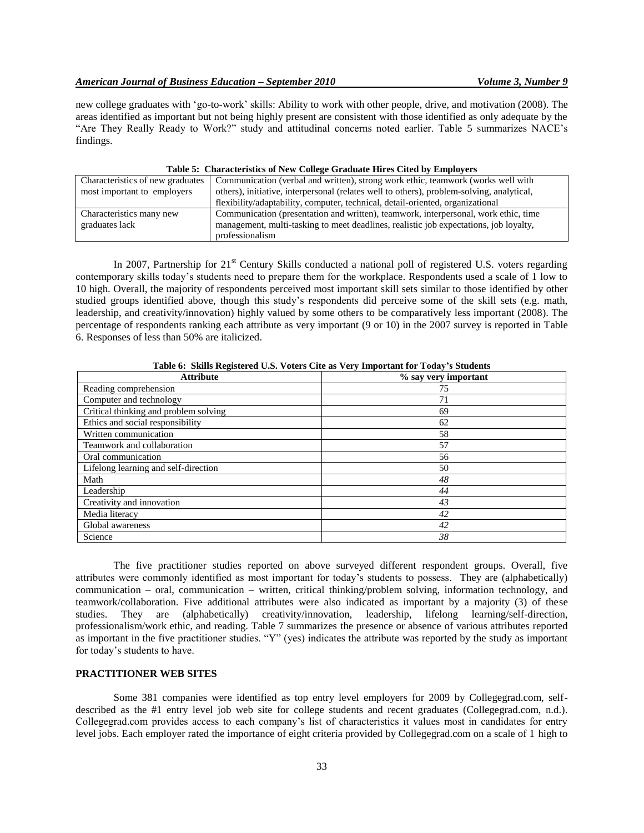new college graduates with "go-to-work" skills: Ability to work with other people, drive, and motivation (2008). The areas identified as important but not being highly present are consistent with those identified as only adequate by the "Are They Really Ready to Work?" study and attitudinal concerns noted earlier. Table 5 summarizes NACE"s findings.

| Table of Characteristics of Fight Concert Graduate Three Cited by Employers |                                                                                           |  |  |  |  |
|-----------------------------------------------------------------------------|-------------------------------------------------------------------------------------------|--|--|--|--|
| Characteristics of new graduates                                            | Communication (verbal and written), strong work ethic, teamwork (works well with          |  |  |  |  |
| most important to employers                                                 | others), initiative, interpersonal (relates well to others), problem-solving, analytical, |  |  |  |  |
|                                                                             | flexibility/adaptability, computer, technical, detail-oriented, organizational            |  |  |  |  |
| Characteristics many new                                                    | Communication (presentation and written), teamwork, interpersonal, work ethic, time       |  |  |  |  |
| graduates lack                                                              | management, multi-tasking to meet deadlines, realistic job expectations, job loyalty,     |  |  |  |  |
|                                                                             | professionalism                                                                           |  |  |  |  |

## **Table 5: Characteristics of New College Graduate Hires Cited by Employers**

In 2007, Partnership for  $21<sup>st</sup>$  Century Skills conducted a national poll of registered U.S. voters regarding contemporary skills today"s students need to prepare them for the workplace. Respondents used a scale of 1 low to 10 high. Overall, the majority of respondents perceived most important skill sets similar to those identified by other studied groups identified above, though this study"s respondents did perceive some of the skill sets (e.g. math, leadership, and creativity/innovation) highly valued by some others to be comparatively less important (2008). The percentage of respondents ranking each attribute as very important (9 or 10) in the 2007 survey is reported in Table 6. Responses of less than 50% are italicized.

| Table 0: SKIIIS Registered O.S. Voters Cite as very hilportant for Touay 8 Students |                      |  |  |  |
|-------------------------------------------------------------------------------------|----------------------|--|--|--|
| <b>Attribute</b>                                                                    | % say very important |  |  |  |
| Reading comprehension                                                               | 75                   |  |  |  |
| Computer and technology                                                             | 71                   |  |  |  |
| Critical thinking and problem solving                                               | 69                   |  |  |  |
| Ethics and social responsibility                                                    | 62                   |  |  |  |
| Written communication                                                               | 58                   |  |  |  |
| Teamwork and collaboration                                                          | 57                   |  |  |  |
| Oral communication                                                                  | 56                   |  |  |  |
| Lifelong learning and self-direction                                                | 50                   |  |  |  |
| Math                                                                                | 48                   |  |  |  |
| Leadership                                                                          | 44                   |  |  |  |
| Creativity and innovation                                                           | 43                   |  |  |  |
| Media literacy                                                                      | 42                   |  |  |  |
| Global awareness                                                                    | 42                   |  |  |  |
| Science                                                                             | 38                   |  |  |  |

**Table 6: Skills Registered U.S. Voters Cite as Very Important for Today's Students**

The five practitioner studies reported on above surveyed different respondent groups. Overall, five attributes were commonly identified as most important for today"s students to possess. They are (alphabetically) communication – oral, communication – written, critical thinking/problem solving, information technology, and teamwork/collaboration. Five additional attributes were also indicated as important by a majority (3) of these studies. They are (alphabetically) creativity/innovation, leadership, lifelong learning/self-direction, professionalism/work ethic, and reading. Table 7 summarizes the presence or absence of various attributes reported as important in the five practitioner studies. "Y" (yes) indicates the attribute was reported by the study as important for today"s students to have.

# **PRACTITIONER WEB SITES**

Some 381 companies were identified as top entry level employers for 2009 by Collegegrad.com, selfdescribed as the #1 entry level job web site for college students and recent graduates (Collegegrad.com, n.d.). Collegegrad.com provides access to each company"s list of characteristics it values most in candidates for entry level jobs. Each employer rated the importance of eight criteria provided by Collegegrad.com on a scale of 1 high to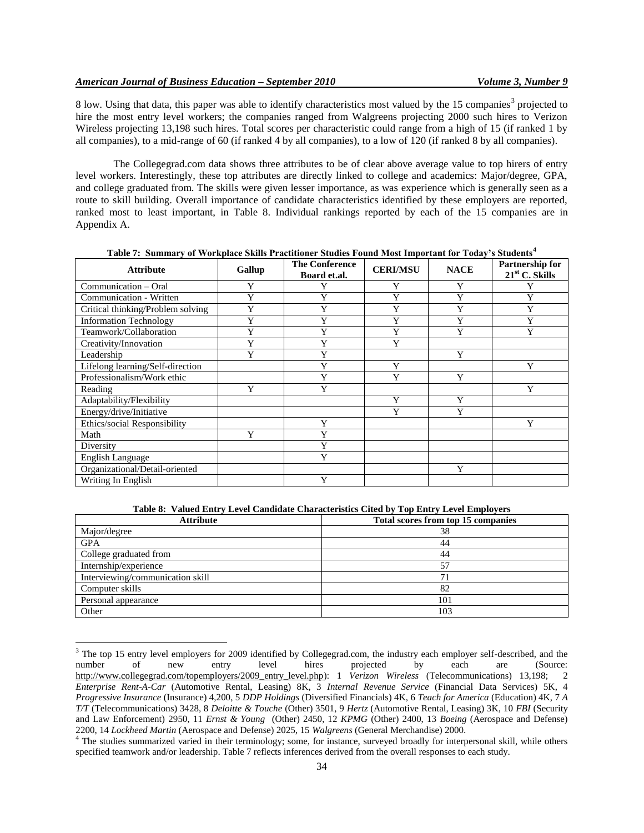$\overline{a}$ 

8 low. Using that data, this paper was able to identify characteristics most valued by the 15 companies<sup>3</sup> projected to hire the most entry level workers; the companies ranged from Walgreens projecting 2000 such hires to Verizon Wireless projecting 13,198 such hires. Total scores per characteristic could range from a high of 15 (if ranked 1 by all companies), to a mid-range of 60 (if ranked 4 by all companies), to a low of 120 (if ranked 8 by all companies).

The Collegegrad.com data shows three attributes to be of clear above average value to top hirers of entry level workers. Interestingly, these top attributes are directly linked to college and academics: Major/degree, GPA, and college graduated from. The skills were given lesser importance, as was experience which is generally seen as a route to skill building. Overall importance of candidate characteristics identified by these employers are reported, ranked most to least important, in Table 8. Individual rankings reported by each of the 15 companies are in Appendix A.

| <b>Attribute</b>                  | Gallup | <b>The Conference</b><br>Board et.al. | <b>CERI/MSU</b> | <b>NACE</b> | Partnership for<br>$21st$ C. Skills |
|-----------------------------------|--------|---------------------------------------|-----------------|-------------|-------------------------------------|
| Communication - Oral              | Y      | Y                                     | Y               | Y           |                                     |
| Communication - Written           | Y      | Y                                     | Y               | Y           | v                                   |
| Critical thinking/Problem solving | Y      | Y                                     | Y               | Y           | Y                                   |
| <b>Information Technology</b>     | Y      | Y                                     | Y               | Y           | Y                                   |
| Teamwork/Collaboration            | Y      | Y                                     | Y               | Y           | Y                                   |
| Creativity/Innovation             | Y      | Y                                     | Y               |             |                                     |
| Leadership                        | Y      | Y                                     |                 | Y           |                                     |
| Lifelong learning/Self-direction  |        | Y                                     | Y               |             | Y                                   |
| Professionalism/Work ethic        |        | Y                                     | Y               | Y           |                                     |
| Reading                           | Y      | Y                                     |                 |             | Y                                   |
| Adaptability/Flexibility          |        |                                       | Y               | Y           |                                     |
| Energy/drive/Initiative           |        |                                       | Y               | Y           |                                     |
| Ethics/social Responsibility      |        | Y                                     |                 |             | Y                                   |
| Math                              | Y      | Y                                     |                 |             |                                     |
| Diversity                         |        | Y                                     |                 |             |                                     |
| <b>English Language</b>           |        | Y                                     |                 |             |                                     |
| Organizational/Detail-oriented    |        |                                       |                 | Y           |                                     |
| Writing In English                |        | Y                                     |                 |             |                                     |

**Table 7: Summary of Workplace Skills Practitioner Studies Found Most Important for Today's Students<sup>4</sup>**

**Table 8: Valued Entry Level Candidate Characteristics Cited by Top Entry Level Employers**

| <b>Attribute</b>                 | Total scores from top 15 companies |
|----------------------------------|------------------------------------|
| Major/degree                     | 38                                 |
| <b>GPA</b>                       | 44                                 |
| College graduated from           | 44                                 |
| Internship/experience            | 57                                 |
| Interviewing/communication skill | 71                                 |
| Computer skills                  | 82                                 |
| Personal appearance              | 101                                |
| Other                            | 103                                |

<sup>&</sup>lt;sup>3</sup> The top 15 entry level employers for 2009 identified by Collegegrad.com, the industry each employer self-described, and the number of new entry level hires projected by each are (Source: number of new entry level hires projected by each are (Source: [http://www.collegegrad.com/topemployers/2009\\_entry\\_level.php\)](http://www.collegegrad.com/topemployers/2009_entry_level.php): 1 *Verizon Wireless* (Telecommunications) 13,198; 2 *Enterprise Rent-A-Car* (Automotive Rental, Leasing) 8K, 3 *Internal Revenue Service* (Financial Data Services) 5K, 4 *Progressive Insurance* (Insurance) 4,200, 5 *DDP Holdings* (Diversified Financials) 4K, 6 *Teach for America* (Education) 4K, 7 *A T/T* (Telecommunications) 3428, 8 *Deloitte & Touche* (Other) 3501, 9 *Hertz* (Automotive Rental, Leasing) 3K, 10 *FBI* (Security and Law Enforcement) 2950, 11 *Ernst & Young* (Other) 2450, 12 *KPMG* (Other) 2400, 13 *Boeing* (Aerospace and Defense) 2200, 14 *Lockheed Martin* (Aerospace and Defense) 2025, 15 *Walgreens* (General Merchandise) 2000.

<sup>&</sup>lt;sup>4</sup> The studies summarized varied in their terminology; some, for instance, surveyed broadly for interpersonal skill, while others specified teamwork and/or leadership. Table 7 reflects inferences derived from the overall responses to each study.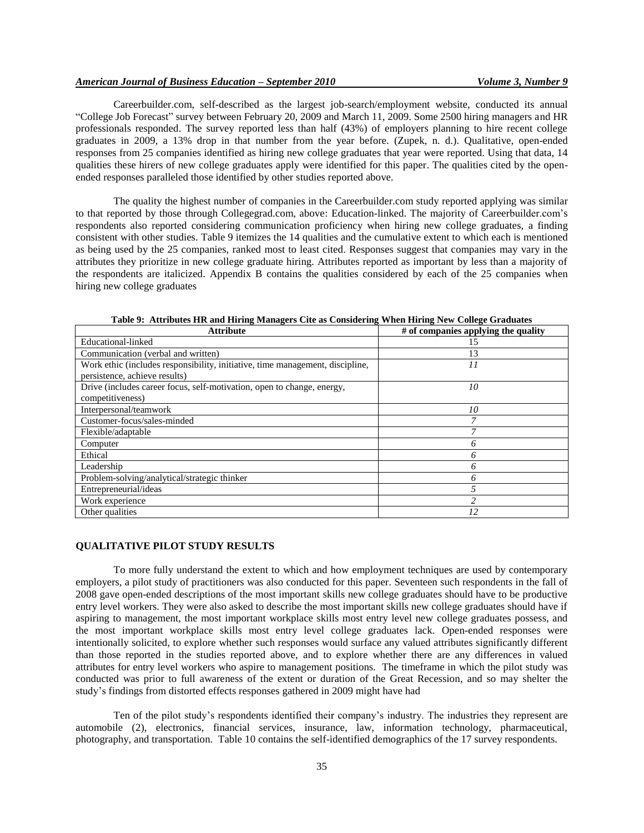Careerbuilder.com, self-described as the largest job-search/employment website, conducted its annual "College Job Forecast" survey between February 20, 2009 and March 11, 2009. Some 2500 hiring managers and HR professionals responded. The survey reported less than half (43%) of employers planning to hire recent college graduates in 2009, a 13% drop in that number from the year before. (Zupek, n. d.). Qualitative, open-ended responses from 25 companies identified as hiring new college graduates that year were reported. Using that data, 14 qualities these hirers of new college graduates apply were identified for this paper. The qualities cited by the openended responses paralleled those identified by other studies reported above.

The quality the highest number of companies in the Careerbuilder.com study reported applying was similar to that reported by those through Collegegrad.com, above: Education-linked. The majority of Careerbuilder.com"s respondents also reported considering communication proficiency when hiring new college graduates, a finding consistent with other studies. Table 9 itemizes the 14 qualities and the cumulative extent to which each is mentioned as being used by the 25 companies, ranked most to least cited. Responses suggest that companies may vary in the attributes they prioritize in new college graduate hiring. Attributes reported as important by less than a majority of the respondents are italicized. Appendix B contains the qualities considered by each of the 25 companies when hiring new college graduates

| <b>Attribute</b>                                                              | # of companies applying the quality |
|-------------------------------------------------------------------------------|-------------------------------------|
| Educational-linked                                                            | 15                                  |
| Communication (verbal and written)                                            | 13                                  |
| Work ethic (includes responsibility, initiative, time management, discipline, | 11                                  |
| persistence, achieve results)                                                 |                                     |
| Drive (includes career focus, self-motivation, open to change, energy,        | 10                                  |
| competitiveness)                                                              |                                     |
| Interpersonal/teamwork                                                        | 10                                  |
| Customer-focus/sales-minded                                                   |                                     |
| Flexible/adaptable                                                            |                                     |
| Computer                                                                      | 6                                   |
| Ethical                                                                       | 6                                   |
| Leadership                                                                    | 6                                   |
| Problem-solving/analytical/strategic thinker                                  | 6                                   |
| Entrepreneurial/ideas                                                         |                                     |
| Work experience                                                               |                                     |
| Other qualities                                                               | 12                                  |

**Table 9: Attributes HR and Hiring Managers Cite as Considering When Hiring New College Graduates**

#### **QUALITATIVE PILOT STUDY RESULTS**

To more fully understand the extent to which and how employment techniques are used by contemporary employers, a pilot study of practitioners was also conducted for this paper. Seventeen such respondents in the fall of 2008 gave open-ended descriptions of the most important skills new college graduates should have to be productive entry level workers. They were also asked to describe the most important skills new college graduates should have if aspiring to management, the most important workplace skills most entry level new college graduates possess, and the most important workplace skills most entry level college graduates lack. Open-ended responses were intentionally solicited, to explore whether such responses would surface any valued attributes significantly different than those reported in the studies reported above, and to explore whether there are any differences in valued attributes for entry level workers who aspire to management positions. The timeframe in which the pilot study was conducted was prior to full awareness of the extent or duration of the Great Recession, and so may shelter the study"s findings from distorted effects responses gathered in 2009 might have had

Ten of the pilot study"s respondents identified their company"s industry. The industries they represent are automobile (2), electronics, financial services, insurance, law, information technology, pharmaceutical, photography, and transportation. Table 10 contains the self-identified demographics of the 17 survey respondents.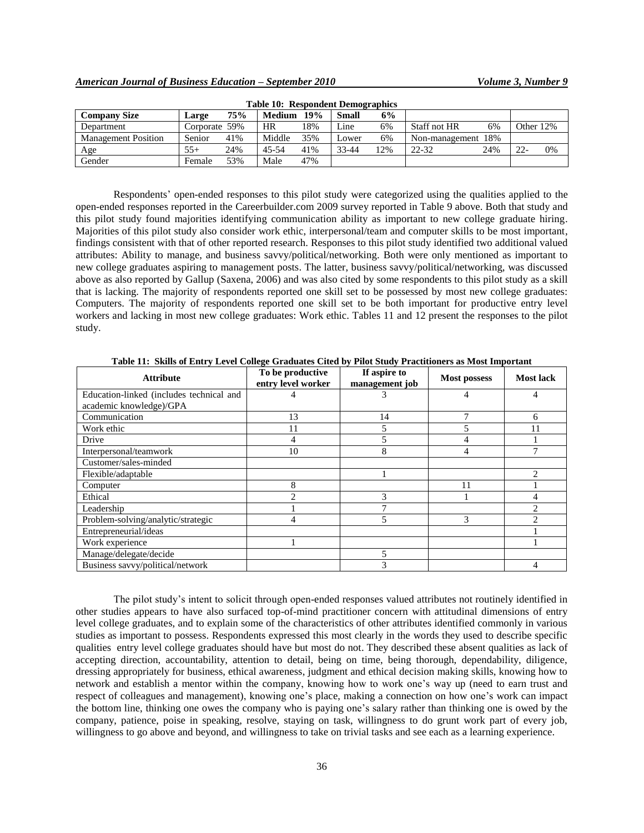| Tuble To: Respondent Denne rupincs |               |     |               |     |              |     |                     |     |           |    |
|------------------------------------|---------------|-----|---------------|-----|--------------|-----|---------------------|-----|-----------|----|
| <b>Company Size</b>                | Large         | 75% | <b>Medium</b> | 19% | <b>Small</b> | 6%  |                     |     |           |    |
| Department                         | Corporate 59% |     | HR            | 18% | Line         | 6%  | <b>Staff not HR</b> | 6%  | Other 12% |    |
| <b>Management Position</b>         | Senior        | 41% | Middle        | 35% | Lower        | 6%  | Non-management 18%  |     |           |    |
| Age                                | $55+$         | 24% | 45-54         | 41% | 33-44        | 12% | 22-32               | 24% | $22 -$    | 0% |
| Gender                             | Female        | 53% | Male          | 47% |              |     |                     |     |           |    |

**Table 10: Respondent Demographics**

Respondents" open-ended responses to this pilot study were categorized using the qualities applied to the open-ended responses reported in the Careerbuilder.com 2009 survey reported in Table 9 above. Both that study and this pilot study found majorities identifying communication ability as important to new college graduate hiring. Majorities of this pilot study also consider work ethic, interpersonal/team and computer skills to be most important, findings consistent with that of other reported research. Responses to this pilot study identified two additional valued attributes: Ability to manage, and business savvy/political/networking. Both were only mentioned as important to new college graduates aspiring to management posts. The latter, business savvy/political/networking, was discussed above as also reported by Gallup (Saxena, 2006) and was also cited by some respondents to this pilot study as a skill that is lacking. The majority of respondents reported one skill set to be possessed by most new college graduates: Computers. The majority of respondents reported one skill set to be both important for productive entry level workers and lacking in most new college graduates: Work ethic. Tables 11 and 12 present the responses to the pilot study.

**Attribute To be productive entry level worker If aspire to management job Most possess Most lack** Education-linked (includes technical and academic knowledge)/GPA 4 4 4 4 4 **Communication** 13 13 14 7 6 Work ethic 11 5 5 11 Drive 1 4 5 4 1 Interpersonal/teamwork 10 10 8 4 7 Customer/sales-minded Flexible/adaptable 2 Computer 8 11 1 Ethical 2 3 1 4 Leadership  $1 \t 7 \t 7$  2 Problem-solving/analytic/strategic 14 5 5 3 2 Entrepreneurial/ideas and the contract of the contract of the contract of the contract of the contract of the contract of the contract of the contract of the contract of the contract of the contract of the contract of the Work experience 1 1 Manage/delegate/decide 5 Business savvy/political/network and the same of the same of the same of the same of the same of the same of the same of the same of the same of the same of the same of the same of the same of the same of the same of the s

**Table 11: Skills of Entry Level College Graduates Cited by Pilot Study Practitioners as Most Important**

The pilot study"s intent to solicit through open-ended responses valued attributes not routinely identified in other studies appears to have also surfaced top-of-mind practitioner concern with attitudinal dimensions of entry level college graduates, and to explain some of the characteristics of other attributes identified commonly in various studies as important to possess. Respondents expressed this most clearly in the words they used to describe specific qualities entry level college graduates should have but most do not. They described these absent qualities as lack of accepting direction, accountability, attention to detail, being on time, being thorough, dependability, diligence, dressing appropriately for business, ethical awareness, judgment and ethical decision making skills, knowing how to network and establish a mentor within the company, knowing how to work one"s way up (need to earn trust and respect of colleagues and management), knowing one"s place, making a connection on how one"s work can impact the bottom line, thinking one owes the company who is paying one"s salary rather than thinking one is owed by the company, patience, poise in speaking, resolve, staying on task, willingness to do grunt work part of every job, willingness to go above and beyond, and willingness to take on trivial tasks and see each as a learning experience.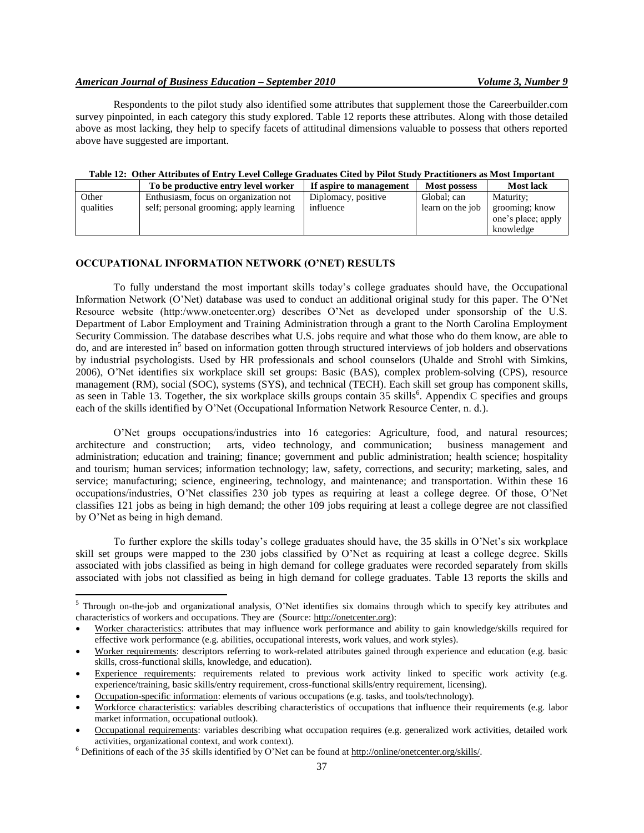## *American Journal of Business Education – September 2010 Volume 3, Number 9*

Respondents to the pilot study also identified some attributes that supplement those the Careerbuilder.com survey pinpointed, in each category this study explored. Table 12 reports these attributes. Along with those detailed above as most lacking, they help to specify facets of attitudinal dimensions valuable to possess that others reported above have suggested are important.

# **Table 12: Other Attributes of Entry Level College Graduates Cited by Pilot Study Practitioners as Most Important**

| THE CHILD INTOXICE OF DRIVET DUTCH CONCEV CHRISTIAN OF THE DIRICH THROUGH IS THE THE THE THE THE TH |                                         |                         |                     |                    |  |  |
|-----------------------------------------------------------------------------------------------------|-----------------------------------------|-------------------------|---------------------|--------------------|--|--|
|                                                                                                     | To be productive entry level worker     | If aspire to management | <b>Most possess</b> | <b>Most lack</b>   |  |  |
| Other                                                                                               | Enthusiasm, focus on organization not   | Diplomacy, positive     | Global; can         | Maturity;          |  |  |
| qualities                                                                                           | self; personal grooming; apply learning | influence               | learn on the job    | grooming; know     |  |  |
|                                                                                                     |                                         |                         |                     | one's place; apply |  |  |
|                                                                                                     |                                         |                         |                     | knowledge          |  |  |

#### **OCCUPATIONAL INFORMATION NETWORK (O'NET) RESULTS**

To fully understand the most important skills today"s college graduates should have, the Occupational Information Network (O"Net) database was used to conduct an additional original study for this paper. The O"Net Resource website (http:/www.onetcenter.org) describes O"Net as developed under sponsorship of the U.S. Department of Labor Employment and Training Administration through a grant to the North Carolina Employment Security Commission. The database describes what U.S. jobs require and what those who do them know, are able to do, and are interested in<sup>5</sup> based on information gotten through structured interviews of job holders and observations by industrial psychologists. Used by HR professionals and school counselors (Uhalde and Strohl with Simkins, 2006), O"Net identifies six workplace skill set groups: Basic (BAS), complex problem-solving (CPS), resource management (RM), social (SOC), systems (SYS), and technical (TECH). Each skill set group has component skills, as seen in Table 13. Together, the six workplace skills groups contain 35 skills<sup>6</sup>. Appendix C specifies and groups each of the skills identified by O"Net (Occupational Information Network Resource Center, n. d.).

O"Net groups occupations/industries into 16 categories: Agriculture, food, and natural resources; architecture and construction; arts, video technology, and communication; business management and administration; education and training; finance; government and public administration; health science; hospitality and tourism; human services; information technology; law, safety, corrections, and security; marketing, sales, and service; manufacturing; science, engineering, technology, and maintenance; and transportation. Within these 16 occupations/industries, O"Net classifies 230 job types as requiring at least a college degree. Of those, O"Net classifies 121 jobs as being in high demand; the other 109 jobs requiring at least a college degree are not classified by O"Net as being in high demand.

To further explore the skills today"s college graduates should have, the 35 skills in O"Net"s six workplace skill set groups were mapped to the 230 jobs classified by O"Net as requiring at least a college degree. Skills associated with jobs classified as being in high demand for college graduates were recorded separately from skills associated with jobs not classified as being in high demand for college graduates. Table 13 reports the skills and

 $\overline{a}$ 

 $5$  Through on-the-job and organizational analysis, O'Net identifies six domains through which to specify key attributes and characteristics of workers and occupations. They are (Source: [http://onetcenter.org\)](http://onetcenter.org/):

Worker characteristics: attributes that may influence work performance and ability to gain knowledge/skills required for effective work performance (e.g. abilities, occupational interests, work values, and work styles).

Worker requirements: descriptors referring to work-related attributes gained through experience and education (e.g. basic skills, cross-functional skills, knowledge, and education).

Experience requirements: requirements related to previous work activity linked to specific work activity (e.g. experience/training, basic skills/entry requirement, cross-functional skills/entry requirement, licensing).

Occupation-specific information: elements of various occupations (e.g. tasks, and tools/technology).

Workforce characteristics: variables describing characteristics of occupations that influence their requirements (e.g. labor market information, occupational outlook).

Occupational requirements: variables describing what occupation requires (e.g. generalized work activities, detailed work activities, organizational context, and work context).

<sup>6</sup> Definitions of each of the 35 skills identified by O"Net can be found at [http://online/onetcenter.org/skills/.](http://online/onetcenter.org/skills/)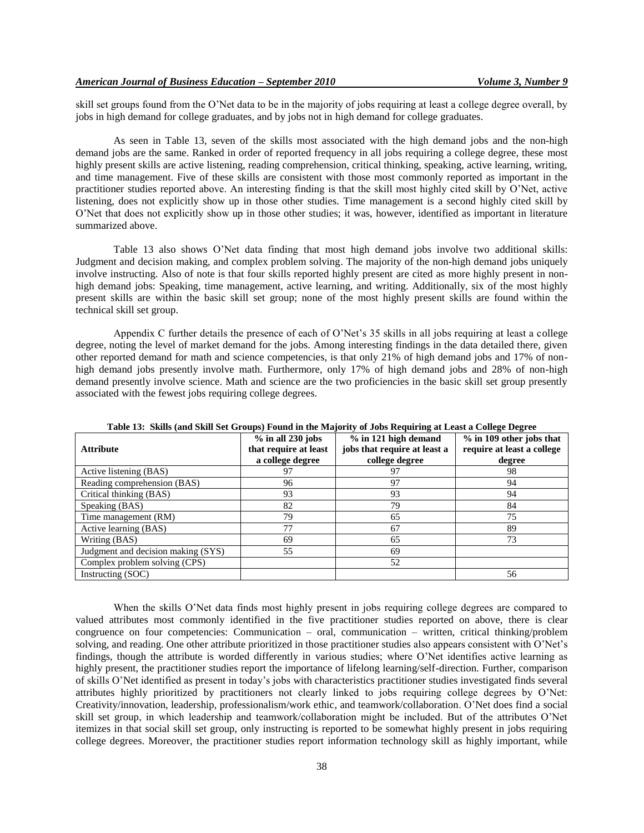skill set groups found from the O"Net data to be in the majority of jobs requiring at least a college degree overall, by jobs in high demand for college graduates, and by jobs not in high demand for college graduates.

As seen in Table 13, seven of the skills most associated with the high demand jobs and the non-high demand jobs are the same. Ranked in order of reported frequency in all jobs requiring a college degree, these most highly present skills are active listening, reading comprehension, critical thinking, speaking, active learning, writing, and time management. Five of these skills are consistent with those most commonly reported as important in the practitioner studies reported above. An interesting finding is that the skill most highly cited skill by O"Net, active listening, does not explicitly show up in those other studies. Time management is a second highly cited skill by O"Net that does not explicitly show up in those other studies; it was, however, identified as important in literature summarized above.

Table 13 also shows O"Net data finding that most high demand jobs involve two additional skills: Judgment and decision making, and complex problem solving. The majority of the non-high demand jobs uniquely involve instructing. Also of note is that four skills reported highly present are cited as more highly present in nonhigh demand jobs: Speaking, time management, active learning, and writing. Additionally, six of the most highly present skills are within the basic skill set group; none of the most highly present skills are found within the technical skill set group.

Appendix C further details the presence of each of O"Net"s 35 skills in all jobs requiring at least a college degree, noting the level of market demand for the jobs. Among interesting findings in the data detailed there, given other reported demand for math and science competencies, is that only 21% of high demand jobs and 17% of nonhigh demand jobs presently involve math. Furthermore, only 17% of high demand jobs and 28% of non-high demand presently involve science. Math and science are the two proficiencies in the basic skill set group presently associated with the fewest jobs requiring college degrees.

| Table 15. SKIIIS (and SKIII Set Oroups) Found in the Majority of Jobs Kequiring at Least a Conege Degree |                                              |                                                      |                                                        |  |  |  |
|----------------------------------------------------------------------------------------------------------|----------------------------------------------|------------------------------------------------------|--------------------------------------------------------|--|--|--|
| <b>Attribute</b>                                                                                         | $%$ in all 230 jobs<br>that require at least | % in 121 high demand<br>jobs that require at least a | % in 109 other jobs that<br>require at least a college |  |  |  |
|                                                                                                          | a college degree                             | college degree                                       | degree                                                 |  |  |  |
| Active listening (BAS)                                                                                   | 97                                           | 97                                                   | 98                                                     |  |  |  |
| Reading comprehension (BAS)                                                                              | 96                                           | 97                                                   | 94                                                     |  |  |  |
| Critical thinking (BAS)                                                                                  | 93                                           | 93                                                   | 94                                                     |  |  |  |
| Speaking (BAS)                                                                                           | 82                                           | 79                                                   | 84                                                     |  |  |  |
| Time management (RM)                                                                                     | 79                                           | 65                                                   | 75                                                     |  |  |  |
| Active learning (BAS)                                                                                    | 77                                           | 67                                                   | 89                                                     |  |  |  |
| Writing (BAS)                                                                                            | 69                                           | 65                                                   | 73                                                     |  |  |  |
| Judgment and decision making (SYS)                                                                       | 55                                           | 69                                                   |                                                        |  |  |  |
| Complex problem solving (CPS)                                                                            |                                              | 52                                                   |                                                        |  |  |  |
| Instructing (SOC)                                                                                        |                                              |                                                      | 56                                                     |  |  |  |

**Table 13: Skills (and Skill Set Groups) Found in the Majority of Jobs Requiring at Least a College Degree**

When the skills O'Net data finds most highly present in jobs requiring college degrees are compared to valued attributes most commonly identified in the five practitioner studies reported on above, there is clear congruence on four competencies: Communication – oral, communication – written, critical thinking/problem solving, and reading. One other attribute prioritized in those practitioner studies also appears consistent with O"Net"s findings, though the attribute is worded differently in various studies; where O"Net identifies active learning as highly present, the practitioner studies report the importance of lifelong learning/self-direction. Further, comparison of skills O"Net identified as present in today"s jobs with characteristics practitioner studies investigated finds several attributes highly prioritized by practitioners not clearly linked to jobs requiring college degrees by O"Net: Creativity/innovation, leadership, professionalism/work ethic, and teamwork/collaboration. O"Net does find a social skill set group, in which leadership and teamwork/collaboration might be included. But of the attributes O"Net itemizes in that social skill set group, only instructing is reported to be somewhat highly present in jobs requiring college degrees. Moreover, the practitioner studies report information technology skill as highly important, while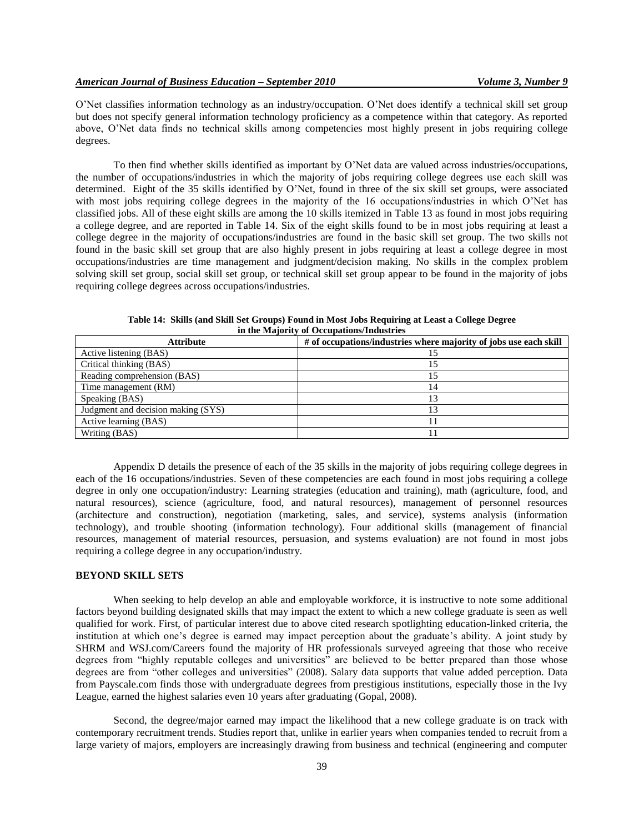O"Net classifies information technology as an industry/occupation. O"Net does identify a technical skill set group but does not specify general information technology proficiency as a competence within that category. As reported above, O"Net data finds no technical skills among competencies most highly present in jobs requiring college degrees.

To then find whether skills identified as important by O"Net data are valued across industries/occupations, the number of occupations/industries in which the majority of jobs requiring college degrees use each skill was determined. Eight of the 35 skills identified by O"Net, found in three of the six skill set groups, were associated with most jobs requiring college degrees in the majority of the 16 occupations/industries in which O'Net has classified jobs. All of these eight skills are among the 10 skills itemized in Table 13 as found in most jobs requiring a college degree, and are reported in Table 14. Six of the eight skills found to be in most jobs requiring at least a college degree in the majority of occupations/industries are found in the basic skill set group. The two skills not found in the basic skill set group that are also highly present in jobs requiring at least a college degree in most occupations/industries are time management and judgment/decision making. No skills in the complex problem solving skill set group, social skill set group, or technical skill set group appear to be found in the majority of jobs requiring college degrees across occupations/industries.

| <b>Attribute</b>                   | # of occupations/industries where majority of jobs use each skill |
|------------------------------------|-------------------------------------------------------------------|
| Active listening (BAS)             |                                                                   |
| Critical thinking (BAS)            | 15                                                                |
| Reading comprehension (BAS)        | 15                                                                |
| Time management (RM)               | 14                                                                |
| Speaking (BAS)                     | 13                                                                |
| Judgment and decision making (SYS) | 13                                                                |
| Active learning (BAS)              |                                                                   |
| Writing (BAS)                      |                                                                   |

**Table 14: Skills (and Skill Set Groups) Found in Most Jobs Requiring at Least a College Degree in the Majority of Occupations/Industries**

Appendix D details the presence of each of the 35 skills in the majority of jobs requiring college degrees in each of the 16 occupations/industries. Seven of these competencies are each found in most jobs requiring a college degree in only one occupation/industry: Learning strategies (education and training), math (agriculture, food, and natural resources), science (agriculture, food, and natural resources), management of personnel resources (architecture and construction), negotiation (marketing, sales, and service), systems analysis (information technology), and trouble shooting (information technology). Four additional skills (management of financial resources, management of material resources, persuasion, and systems evaluation) are not found in most jobs requiring a college degree in any occupation/industry.

# **BEYOND SKILL SETS**

When seeking to help develop an able and employable workforce, it is instructive to note some additional factors beyond building designated skills that may impact the extent to which a new college graduate is seen as well qualified for work. First, of particular interest due to above cited research spotlighting education-linked criteria, the institution at which one's degree is earned may impact perception about the graduate's ability. A joint study by SHRM and WSJ.com/Careers found the majority of HR professionals surveyed agreeing that those who receive degrees from "highly reputable colleges and universities" are believed to be better prepared than those whose degrees are from "other colleges and universities" (2008). Salary data supports that value added perception. Data from Payscale.com finds those with undergraduate degrees from prestigious institutions, especially those in the Ivy League, earned the highest salaries even 10 years after graduating (Gopal, 2008).

Second, the degree/major earned may impact the likelihood that a new college graduate is on track with contemporary recruitment trends. Studies report that, unlike in earlier years when companies tended to recruit from a large variety of majors, employers are increasingly drawing from business and technical (engineering and computer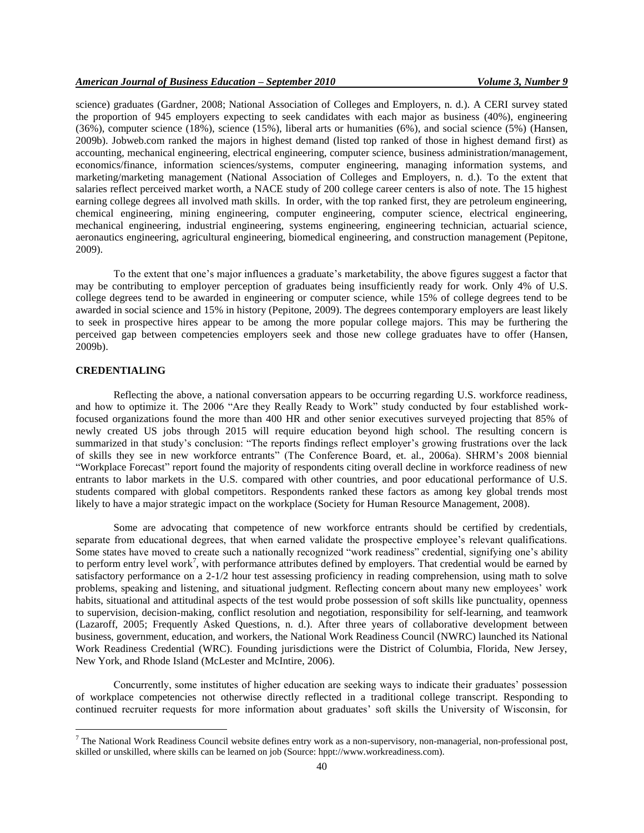science) graduates (Gardner, 2008; National Association of Colleges and Employers, n. d.). A CERI survey stated the proportion of 945 employers expecting to seek candidates with each major as business (40%), engineering (36%), computer science (18%), science (15%), liberal arts or humanities (6%), and social science (5%) (Hansen, 2009b). Jobweb.com ranked the majors in highest demand (listed top ranked of those in highest demand first) as accounting, mechanical engineering, electrical engineering, computer science, business administration/management, economics/finance, information sciences/systems, computer engineering, managing information systems, and marketing/marketing management (National Association of Colleges and Employers, n. d.). To the extent that salaries reflect perceived market worth, a NACE study of 200 college career centers is also of note. The 15 highest earning college degrees all involved math skills. In order, with the top ranked first, they are petroleum engineering, chemical engineering, mining engineering, computer engineering, computer science, electrical engineering, mechanical engineering, industrial engineering, systems engineering, engineering technician, actuarial science, aeronautics engineering, agricultural engineering, biomedical engineering, and construction management (Pepitone, 2009).

To the extent that one"s major influences a graduate"s marketability, the above figures suggest a factor that may be contributing to employer perception of graduates being insufficiently ready for work. Only 4% of U.S. college degrees tend to be awarded in engineering or computer science, while 15% of college degrees tend to be awarded in social science and 15% in history (Pepitone, 2009). The degrees contemporary employers are least likely to seek in prospective hires appear to be among the more popular college majors. This may be furthering the perceived gap between competencies employers seek and those new college graduates have to offer (Hansen, 2009b).

# **CREDENTIALING**

 $\overline{a}$ 

Reflecting the above, a national conversation appears to be occurring regarding U.S. workforce readiness, and how to optimize it. The 2006 "Are they Really Ready to Work" study conducted by four established workfocused organizations found the more than 400 HR and other senior executives surveyed projecting that 85% of newly created US jobs through 2015 will require education beyond high school. The resulting concern is summarized in that study's conclusion: "The reports findings reflect employer's growing frustrations over the lack of skills they see in new workforce entrants" (The Conference Board, et. al., 2006a). SHRM"s 2008 biennial "Workplace Forecast" report found the majority of respondents citing overall decline in workforce readiness of new entrants to labor markets in the U.S. compared with other countries, and poor educational performance of U.S. students compared with global competitors. Respondents ranked these factors as among key global trends most likely to have a major strategic impact on the workplace (Society for Human Resource Management, 2008).

Some are advocating that competence of new workforce entrants should be certified by credentials, separate from educational degrees, that when earned validate the prospective employee's relevant qualifications. Some states have moved to create such a nationally recognized "work readiness" credential, signifying one"s ability to perform entry level work<sup>7</sup>, with performance attributes defined by employers. That credential would be earned by satisfactory performance on a 2-1/2 hour test assessing proficiency in reading comprehension, using math to solve problems, speaking and listening, and situational judgment. Reflecting concern about many new employees" work habits, situational and attitudinal aspects of the test would probe possession of soft skills like punctuality, openness to supervision, decision-making, conflict resolution and negotiation, responsibility for self-learning, and teamwork (Lazaroff, 2005; Frequently Asked Questions, n. d.). After three years of collaborative development between business, government, education, and workers, the National Work Readiness Council (NWRC) launched its National Work Readiness Credential (WRC). Founding jurisdictions were the District of Columbia, Florida, New Jersey, New York, and Rhode Island (McLester and McIntire, 2006).

Concurrently, some institutes of higher education are seeking ways to indicate their graduates" possession of workplace competencies not otherwise directly reflected in a traditional college transcript. Responding to continued recruiter requests for more information about graduates" soft skills the University of Wisconsin, for

 $7$  The National Work Readiness Council website defines entry work as a non-supervisory, non-managerial, non-professional post, skilled or unskilled, where skills can be learned on job (Source: hppt://www.workreadiness.com).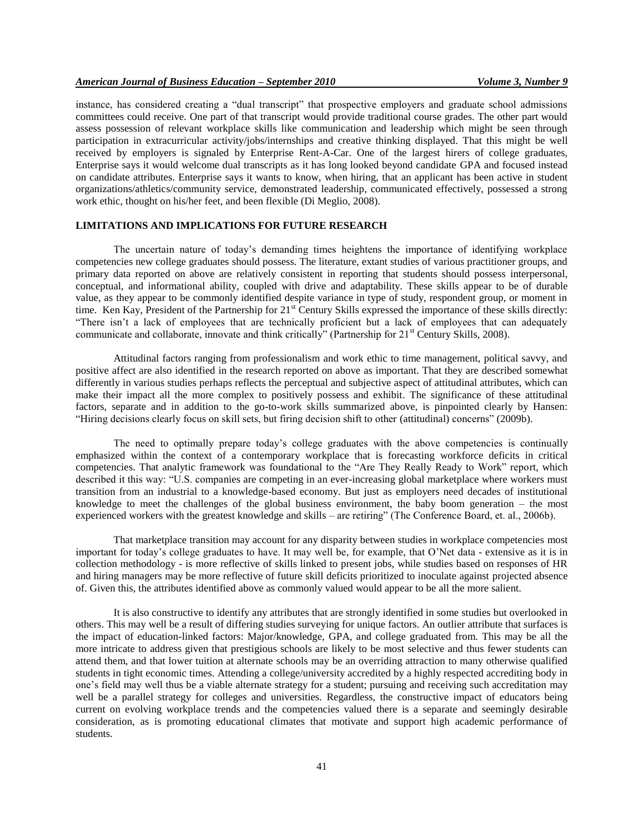instance, has considered creating a "dual transcript" that prospective employers and graduate school admissions committees could receive. One part of that transcript would provide traditional course grades. The other part would assess possession of relevant workplace skills like communication and leadership which might be seen through participation in extracurricular activity/jobs/internships and creative thinking displayed. That this might be well received by employers is signaled by Enterprise Rent-A-Car. One of the largest hirers of college graduates, Enterprise says it would welcome dual transcripts as it has long looked beyond candidate GPA and focused instead on candidate attributes. Enterprise says it wants to know, when hiring, that an applicant has been active in student organizations/athletics/community service, demonstrated leadership, communicated effectively, possessed a strong work ethic, thought on his/her feet, and been flexible (Di Meglio, 2008).

# **LIMITATIONS AND IMPLICATIONS FOR FUTURE RESEARCH**

The uncertain nature of today"s demanding times heightens the importance of identifying workplace competencies new college graduates should possess. The literature, extant studies of various practitioner groups, and primary data reported on above are relatively consistent in reporting that students should possess interpersonal, conceptual, and informational ability, coupled with drive and adaptability. These skills appear to be of durable value, as they appear to be commonly identified despite variance in type of study, respondent group, or moment in time. Ken Kay, President of the Partnership for 21<sup>st</sup> Century Skills expressed the importance of these skills directly: "There isn't a lack of employees that are technically proficient but a lack of employees that can adequately communicate and collaborate, innovate and think critically" (Partnership for 21<sup>st</sup> Century Skills, 2008).

Attitudinal factors ranging from professionalism and work ethic to time management, political savvy, and positive affect are also identified in the research reported on above as important. That they are described somewhat differently in various studies perhaps reflects the perceptual and subjective aspect of attitudinal attributes, which can make their impact all the more complex to positively possess and exhibit. The significance of these attitudinal factors, separate and in addition to the go-to-work skills summarized above, is pinpointed clearly by Hansen: "Hiring decisions clearly focus on skill sets, but firing decision shift to other (attitudinal) concerns" (2009b).

The need to optimally prepare today"s college graduates with the above competencies is continually emphasized within the context of a contemporary workplace that is forecasting workforce deficits in critical competencies. That analytic framework was foundational to the "Are They Really Ready to Work" report, which described it this way: "U.S. companies are competing in an ever-increasing global marketplace where workers must transition from an industrial to a knowledge-based economy. But just as employers need decades of institutional knowledge to meet the challenges of the global business environment, the baby boom generation – the most experienced workers with the greatest knowledge and skills – are retiring" (The Conference Board, et. al., 2006b).

That marketplace transition may account for any disparity between studies in workplace competencies most important for today"s college graduates to have. It may well be, for example, that O"Net data - extensive as it is in collection methodology - is more reflective of skills linked to present jobs, while studies based on responses of HR and hiring managers may be more reflective of future skill deficits prioritized to inoculate against projected absence of. Given this, the attributes identified above as commonly valued would appear to be all the more salient.

It is also constructive to identify any attributes that are strongly identified in some studies but overlooked in others. This may well be a result of differing studies surveying for unique factors. An outlier attribute that surfaces is the impact of education-linked factors: Major/knowledge, GPA, and college graduated from. This may be all the more intricate to address given that prestigious schools are likely to be most selective and thus fewer students can attend them, and that lower tuition at alternate schools may be an overriding attraction to many otherwise qualified students in tight economic times. Attending a college/university accredited by a highly respected accrediting body in one"s field may well thus be a viable alternate strategy for a student; pursuing and receiving such accreditation may well be a parallel strategy for colleges and universities. Regardless, the constructive impact of educators being current on evolving workplace trends and the competencies valued there is a separate and seemingly desirable consideration, as is promoting educational climates that motivate and support high academic performance of students.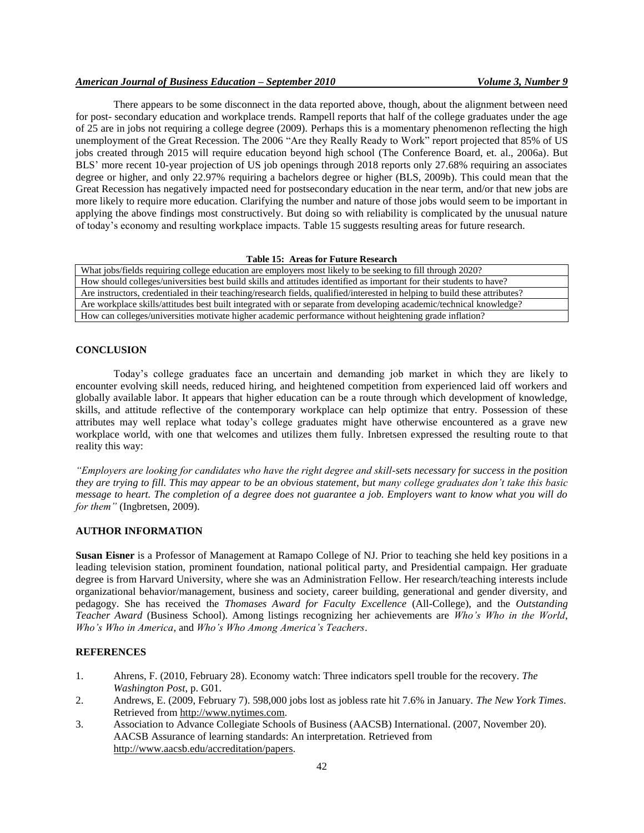# *American Journal of Business Education – September 2010 Volume 3, Number 9*

There appears to be some disconnect in the data reported above, though, about the alignment between need for post- secondary education and workplace trends. Rampell reports that half of the college graduates under the age of 25 are in jobs not requiring a college degree (2009). Perhaps this is a momentary phenomenon reflecting the high unemployment of the Great Recession. The 2006 "Are they Really Ready to Work" report projected that 85% of US jobs created through 2015 will require education beyond high school (The Conference Board, et. al., 2006a). But BLS' more recent 10-year projection of US job openings through 2018 reports only 27.68% requiring an associates degree or higher, and only 22.97% requiring a bachelors degree or higher (BLS, 2009b). This could mean that the Great Recession has negatively impacted need for postsecondary education in the near term, and/or that new jobs are more likely to require more education. Clarifying the number and nature of those jobs would seem to be important in applying the above findings most constructively. But doing so with reliability is complicated by the unusual nature of today"s economy and resulting workplace impacts. Table 15 suggests resulting areas for future research.

#### **Table 15: Areas for Future Research**

| What jobs/fields requiring college education are employers most likely to be seeking to fill through 2020?                  |
|-----------------------------------------------------------------------------------------------------------------------------|
| How should colleges/universities best build skills and attitudes identified as important for their students to have?        |
| Are instructors, credentialed in their teaching/research fields, qualified/interested in helping to build these attributes? |
| Are workplace skills/attitudes best built integrated with or separate from developing academic/technical knowledge?         |
| How can colleges/universities motivate higher academic performance without heightening grade inflation?                     |

#### **CONCLUSION**

Today"s college graduates face an uncertain and demanding job market in which they are likely to encounter evolving skill needs, reduced hiring, and heightened competition from experienced laid off workers and globally available labor. It appears that higher education can be a route through which development of knowledge, skills, and attitude reflective of the contemporary workplace can help optimize that entry. Possession of these attributes may well replace what today"s college graduates might have otherwise encountered as a grave new workplace world, with one that welcomes and utilizes them fully. Inbretsen expressed the resulting route to that reality this way:

*"Employers are looking for candidates who have the right degree and skill-sets necessary for success in the position they are trying to fill. This may appear to be an obvious statement, but many college graduates don't take this basic message to heart. The completion of a degree does not guarantee a job. Employers want to know what you will do for them"* (Ingbretsen, 2009).

## **AUTHOR INFORMATION**

**Susan Eisner** is a Professor of Management at Ramapo College of NJ. Prior to teaching she held key positions in a leading television station, prominent foundation, national political party, and Presidential campaign. Her graduate degree is from Harvard University, where she was an Administration Fellow. Her research/teaching interests include organizational behavior/management, business and society, career building, generational and gender diversity, and pedagogy. She has received the *Thomases Award for Faculty Excellence* (All-College), and the *Outstanding Teacher Award* (Business School). Among listings recognizing her achievements are *Who's Who in the World*, *Who's Who in America*, and *Who's Who Among America's Teachers*.

#### **REFERENCES**

- 1. Ahrens, F. (2010, February 28). Economy watch: Three indicators spell trouble for the recovery. *The Washington Post*, p. G01.
- 2. Andrews, E. (2009, February 7). 598,000 jobs lost as jobless rate hit 7.6% in January. *The New York Times*. Retrieved from [http://www.nytimes.com.](http://www.nytimes.com/)
- 3. Association to Advance Collegiate Schools of Business (AACSB) International. (2007, November 20). AACSB Assurance of learning standards: An interpretation. Retrieved from [http://www.aacsb.edu/accreditation/papers.](http://www.aacsb.edu/accreditation/papers)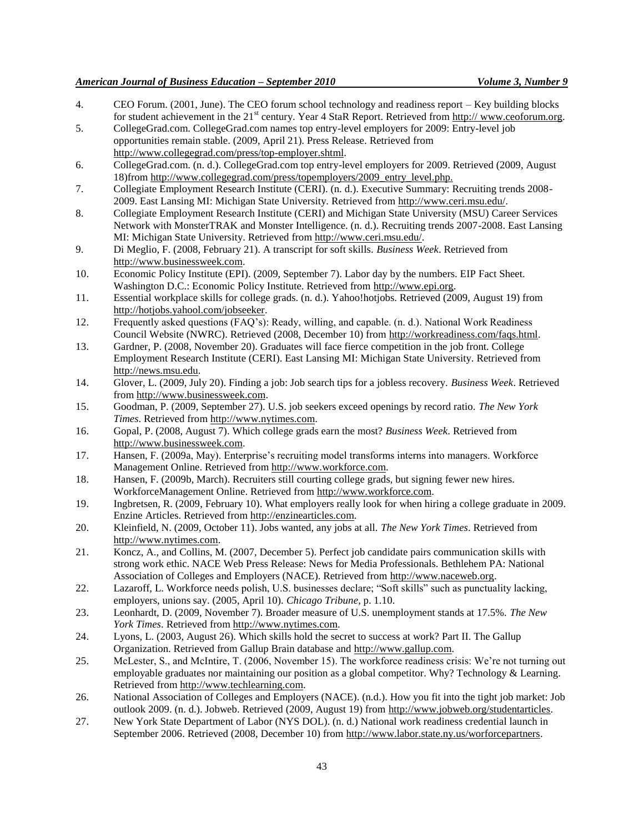- 4. CEO Forum. (2001, June). The CEO forum school technology and readiness report Key building blocks for student achievement in the 21<sup>st</sup> century. Year 4 StaR Report. Retrieved from http:/[/ www.ceoforum.org.](http://www.ceoforum.org/)
- 5. CollegeGrad.com. CollegeGrad.com names top entry-level employers for 2009: Entry-level job opportunities remain stable. (2009, April 21). Press Release. Retrieved from [http://www.collegegrad.com/press/top-employer.shtml.](http://www.collegegrad.com/press/top-employer.shtml)
- 6. CollegeGrad.com. (n. d.). CollegeGrad.com top entry-level employers for 2009. Retrieved (2009, August 18)from [http://www.collegegrad.com/press/topemployers/2009\\_entry\\_level.php.](http://www.collegegrad.com/press/topemployers/2009_entry_level.php.)
- 7. Collegiate Employment Research Institute (CERI). (n. d.). Executive Summary: Recruiting trends 2008- 2009. East Lansing MI: Michigan State University. Retrieved from [http://www.ceri.msu.edu/.](http://www.ceri.msu.edu/)
- 8. Collegiate Employment Research Institute (CERI) and Michigan State University (MSU) Career Services Network with MonsterTRAK and Monster Intelligence. (n. d.). Recruiting trends 2007-2008. East Lansing MI: Michigan State University. Retrieved from [http://www.ceri.msu.edu/.](http://www.ceri.msu.edu/)
- 9. Di Meglio, F. (2008, February 21). A transcript for soft skills. *Business Week*. Retrieved from [http://www.businessweek.com.](http://www.businessweek.com/)
- 10. Economic Policy Institute (EPI). (2009, September 7). Labor day by the numbers. EIP Fact Sheet. Washington D.C.: Economic Policy Institute. Retrieved from [http://www.epi.org.](http://www.epi.org/)
- 11. Essential workplace skills for college grads. (n. d.). Yahoo!hotjobs. Retrieved (2009, August 19) from [http://hotjobs.yahool.com/jobseeker.](http://hotjobs.yahool.com/jobseeker)
- 12. Frequently asked questions (FAQ"s): Ready, willing, and capable. (n. d.). National Work Readiness Council Website (NWRC). Retrieved (2008, December 10) from [http://workreadiness.com/faqs.html.](http://workreadiness.com/faqs.html)
- 13. Gardner, P. (2008, November 20). Graduates will face fierce competition in the job front. College Employment Research Institute (CERI). East Lansing MI: Michigan State University. Retrieved from [http://news.msu.edu.](http://news.msu.edu/)
- 14. Glover, L. (2009, July 20). Finding a job: Job search tips for a jobless recovery. *Business Week*. Retrieved from [http://www.businessweek.com.](http://www.businessweek.com/)
- 15. Goodman, P. (2009, September 27). U.S. job seekers exceed openings by record ratio. *The New York Times*. Retrieved from [http://www.nytimes.com.](http://www.nytimes.com/)
- 16. Gopal, P. (2008, August 7). Which college grads earn the most? *Business Week*. Retrieved from [http://www.businessweek.com.](http://www.businessweek.com/)
- 17. Hansen, F. (2009a, May). Enterprise"s recruiting model transforms interns into managers. Workforce Management Online. Retrieved from [http://www.workforce.com.](http://www.workforce.com/)
- 18. Hansen, F. (2009b, March). Recruiters still courting college grads, but signing fewer new hires. WorkforceManagement Online. Retrieved from [http://www.workforce.com.](http://www.workforce.com/)
- 19. Ingbretsen, R. (2009, February 10). What employers really look for when hiring a college graduate in 2009. Enzine Articles. Retrieved from [http://enzinearticles.com.](http://enzinearticles.com/)
- 20. Kleinfield, N. (2009, October 11). Jobs wanted, any jobs at all. *The New York Times*. Retrieved from [http://www.nytimes.com.](http://www.nytimes.com/)
- 21. Koncz, A., and Collins, M. (2007, December 5). Perfect job candidate pairs communication skills with strong work ethic. NACE Web Press Release: News for Media Professionals. Bethlehem PA: National Association of Colleges and Employers (NACE). Retrieved from [http://www.naceweb.org.](http://www.naceweb.org/)
- 22. Lazaroff, L. Workforce needs polish, U.S. businesses declare; "Soft skills" such as punctuality lacking, employers, unions say. (2005, April 10). *Chicago Tribune*, p. 1.10.
- 23. Leonhardt, D. (2009, November 7). Broader measure of U.S. unemployment stands at 17.5%. *The New York Times*. Retrieved fro[m http://www.nytimes.com.](http://www.nytimes.com/)
- 24. Lyons, L. (2003, August 26). Which skills hold the secret to success at work? Part II. The Gallup Organization. Retrieved from Gallup Brain database and [http://www.gallup.com.](http://www.gallup.com/)
- 25. McLester, S., and McIntire, T. (2006, November 15). The workforce readiness crisis: We"re not turning out employable graduates nor maintaining our position as a global competitor. Why? Technology & Learning. Retrieved from [http://www.techlearning.com.](http://www.techlearning.com/)
- 26. National Association of Colleges and Employers (NACE). (n.d.). How you fit into the tight job market: Job outlook 2009. (n. d.). Jobweb. Retrieved (2009, August 19) from [http://www.jobweb.org/studentarticles.](http://www.jobweb.org/studentarticles)
- 27. New York State Department of Labor (NYS DOL). (n. d.) National work readiness credential launch in September 2006. Retrieved (2008, December 10) from [http://www.labor.state.ny.us/worforcepartners.](http://www.labor.state.ny.us/worforcepartners)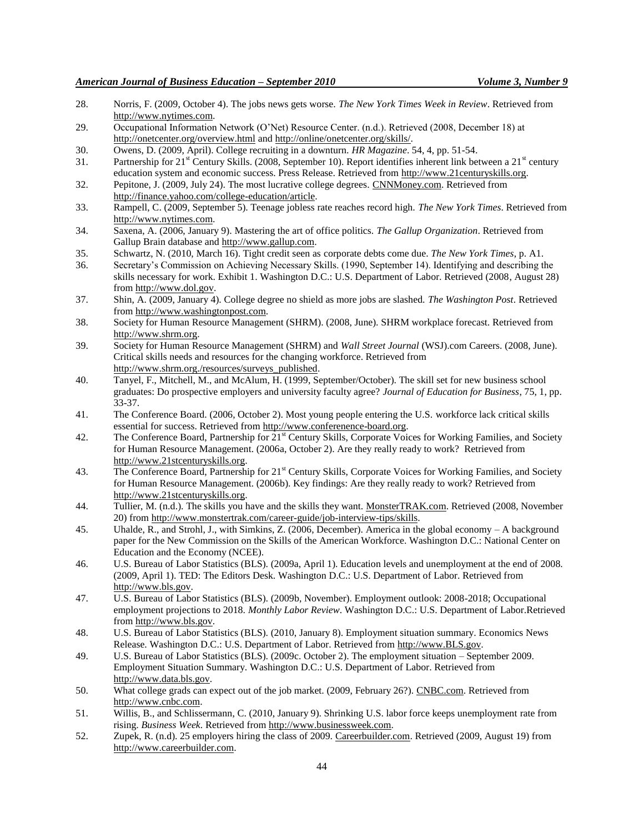- 28. Norris, F. (2009, October 4). The jobs news gets worse. *The New York Times Week in Review*. Retrieved from [http://www.nytimes.com.](http://www.nytimes.com/)
- 29. Occupational Information Network (O"Net) Resource Center. (n.d.). Retrieved (2008, December 18) at <http://onetcenter.org/overview.html> an[d http://online/onetcenter.org/skills/.](http://online/onetcenter.org/skills/)
- 30. Owens, D. (2009, April). College recruiting in a downturn. *HR Magazine*. 54, 4, pp. 51-54.
- 31. Partnership for  $21<sup>st</sup>$  Century Skills. (2008, September 10). Report identifies inherent link between a  $21<sup>st</sup>$  century education system and economic success. Press Release. Retrieved fro[m http://www.21centuryskills.org.](http://www.21centuryskills.org/)
- 32. Pepitone, J. (2009, July 24). The most lucrative college degrees. CNNMoney.com. Retrieved from [http://finance.yahoo.com/college-education/article.](http://finance.yahoo.com/college-education/article)
- 33. Rampell, C. (2009, September 5). Teenage jobless rate reaches record high. *The New York Times*. Retrieved from [http://www.nytimes.com.](http://www.nytimes.com/)
- 34. Saxena, A. (2006, January 9). Mastering the art of office politics. *The Gallup Organization*. Retrieved from Gallup Brain database and [http://www.gallup.com.](http://www.gallup.com/)
- 35. Schwartz, N. (2010, March 16). Tight credit seen as corporate debts come due. *The New York Times*, p. A1.
- 36. Secretary"s Commission on Achieving Necessary Skills. (1990, September 14). Identifying and describing the skills necessary for work. Exhibit 1. Washington D.C.: U.S. Department of Labor. Retrieved (2008, August 28) from [http://www.dol.gov.](http://www.dol.gov/)
- 37. Shin, A. (2009, January 4). College degree no shield as more jobs are slashed. *The Washington Post*. Retrieved from [http://www.washingtonpost.com.](http://www.washingtonpost.com/)
- 38. Society for Human Resource Management (SHRM). (2008, June). SHRM workplace forecast. Retrieved from [http://www.shrm.org.](http://www.shrm.org/)
- 39. Society for Human Resource Management (SHRM) and *Wall Street Journal* (WSJ).com Careers. (2008, June). Critical skills needs and resources for the changing workforce. Retrieved from [http://www.shrm.org./resources/surveys\\_published.](http://www.shrm.org./resources/surveys_published)
- 40. Tanyel, F., Mitchell, M., and McAlum, H. (1999, September/October). The skill set for new business school graduates: Do prospective employers and university faculty agree? *Journal of Education for Business*, 75, 1, pp. 33-37.
- 41. The Conference Board. (2006, October 2). Most young people entering the U.S. workforce lack critical skills essential for success. Retrieved from [http://www.conferenence-board.org.](http://www.conferenence-board.org/)
- 42. The Conference Board, Partnership for 21<sup>st</sup> Century Skills, Corporate Voices for Working Families, and Society for Human Resource Management. (2006a, October 2). Are they really ready to work? Retrieved from [http://www.21stcenturyskills.org.](http://www.21stcenturyskills.org/)
- 43. The Conference Board, Partnership for 21<sup>st</sup> Century Skills, Corporate Voices for Working Families, and Society for Human Resource Management. (2006b). Key findings: Are they really ready to work? Retrieved from [http://www.21stcenturyskills.org.](http://www.21stcenturyskills.org/)
- 44. Tullier, M. (n.d.). The skills you have and the skills they want. MonsterTRAK.com. Retrieved (2008, November 20) from [http://www.monstertrak.com/career-guide/job-interview-tips/skills.](http://www.monstertrak.com/career-guide/job-interview-tips/skills)
- 45. Uhalde, R., and Strohl, J., with Simkins, Z. (2006, December). America in the global economy A background paper for the New Commission on the Skills of the American Workforce. Washington D.C.: National Center on Education and the Economy (NCEE).
- 46. U.S. Bureau of Labor Statistics (BLS). (2009a, April 1). Education levels and unemployment at the end of 2008. (2009, April 1). TED: The Editors Desk. Washington D.C.: U.S. Department of Labor. Retrieved from [http://www.bls.gov.](http://www.bls.gov/)
- 47. U.S. Bureau of Labor Statistics (BLS). (2009b, November). Employment outlook: 2008-2018; Occupational employment projections to 2018. *Monthly Labor Review*. Washington D.C.: U.S. Department of Labor.Retrieved from [http://www.bls.gov.](http://www.bls.gov/)
- 48. U.S. Bureau of Labor Statistics (BLS). (2010, January 8). Employment situation summary. Economics News Release. Washington D.C.: U.S. Department of Labor. Retrieved from [http://www.BLS.gov.](http://www.bls.gov/)
- 49. U.S. Bureau of Labor Statistics (BLS). (2009c. October 2). The employment situation September 2009. Employment Situation Summary. Washington D.C.: U.S. Department of Labor. Retrieved from [http://www.data.bls.gov.](http://www.data.bls.gov/)
- 50. What college grads can expect out of the job market. (2009, February 26?). CNBC.com. Retrieved from [http://www.cnbc.com.](http://www.cnbc.com/)
- 51. Willis, B., and Schlissermann, C. (2010, January 9). Shrinking U.S. labor force keeps unemployment rate from rising. *Business Week*. Retrieved fro[m http://www.businessweek.com.](http://www.businessweek.com/)
- 52. Zupek, R. (n.d). 25 employers hiring the class of 2009. Careerbuilder.com. Retrieved (2009, August 19) from [http://www.careerbuilder.com.](http://www.careerbuilder.com/)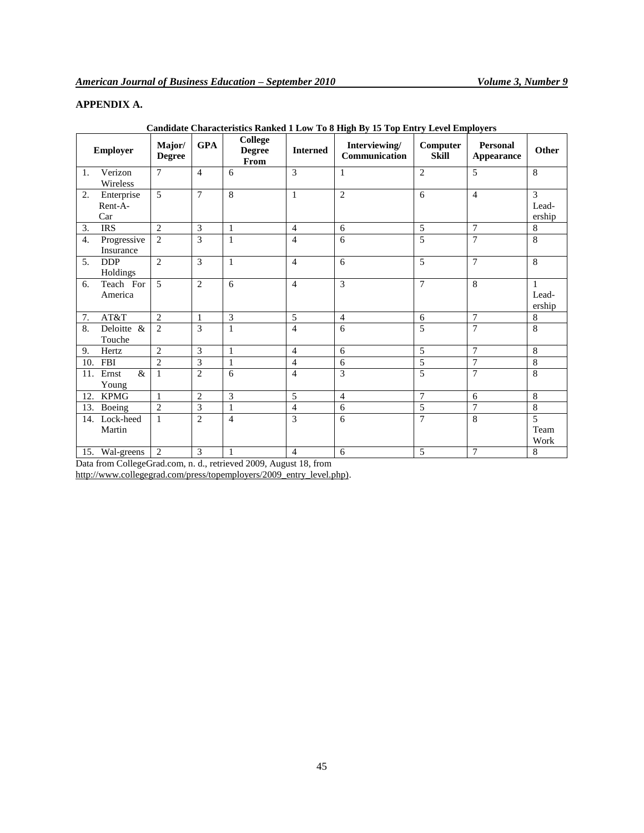# **APPENDIX A.**

|     | Employer                     | Major/<br><b>Degree</b> | <b>GPA</b>     | <b>College</b><br><b>Degree</b><br>From | <b>Interned</b> | Interviewing/<br>Communication | Computer<br><b>Skill</b> | <b>Personal</b><br>Appearance | Other                           |
|-----|------------------------------|-------------------------|----------------|-----------------------------------------|-----------------|--------------------------------|--------------------------|-------------------------------|---------------------------------|
| 1.  | Verizon<br>Wireless          | $\overline{7}$          | $\overline{4}$ | 6                                       | 3               | 1                              | $\overline{2}$           | 5                             | 8                               |
| 2.  | Enterprise<br>Rent-A-<br>Car | 5                       | $\overline{7}$ | 8                                       | $\mathbf{1}$    | $\overline{2}$                 | 6                        | $\overline{4}$                | 3<br>Lead-<br>ership            |
| 3.  | <b>IRS</b>                   | $\overline{2}$          | 3              | $\mathbf{1}$                            | $\overline{4}$  | 6                              | 5                        | $\overline{7}$                | $\,8\,$                         |
| 4.  | Progressive<br>Insurance     | 2                       | 3              | 1                                       | $\overline{4}$  | 6                              | 5                        | $\overline{7}$                | 8                               |
| 5.  | <b>DDP</b><br>Holdings       | $\overline{2}$          | 3              | $\mathbf{1}$                            | $\overline{4}$  | 6                              | 5                        | $\overline{7}$                | 8                               |
| 6.  | Teach For<br>America         | 5                       | $\overline{c}$ | 6                                       | $\overline{4}$  | 3                              | $\overline{7}$           | 8                             | $\mathbf{1}$<br>Lead-<br>ership |
| 7.  | AT&T                         | $\overline{2}$          | 1              | 3                                       | 5               | $\overline{4}$                 | 6                        | $\overline{7}$                | 8                               |
| 8.  | Deloitte $\&$<br>Touche      | $\overline{2}$          | 3              | 1                                       | $\overline{4}$  | 6                              | 5                        | $\overline{7}$                | 8                               |
| 9.  | Hertz                        | $\overline{2}$          | 3              | $\mathbf{1}$                            | $\overline{4}$  | 6                              | 5                        | $\overline{7}$                | 8                               |
| 10. | <b>FBI</b>                   | $\overline{2}$          | 3              | $\mathbf{1}$                            | $\overline{4}$  | 6                              | 5                        | $\overline{7}$                | 8                               |
| 11. | $\&$<br>Ernst<br>Young       | $\mathbf{1}$            | $\overline{2}$ | 6                                       | $\overline{4}$  | 3                              | 5                        | $\overline{7}$                | 8                               |
| 12. | <b>KPMG</b>                  | $\mathbf{1}$            | $\overline{2}$ | 3                                       | 5               | $\overline{4}$                 | $\overline{7}$           | 6                             | 8                               |
| 13. | Boeing                       | $\overline{2}$          | 3              | $\mathbf{1}$                            | $\overline{4}$  | 6                              | 5                        | $\overline{7}$                | 8                               |
| 14. | Lock-heed<br>Martin          | $\mathbf{1}$            | $\overline{2}$ | $\overline{4}$                          | 3               | 6                              | $\overline{7}$           | 8                             | 5<br>Team<br>Work               |
|     | 15. Wal-greens               | 2                       | 3              | 1                                       | 4               | 6                              | 5                        | $\overline{7}$                | 8                               |

**Candidate Characteristics Ranked 1 Low To 8 High By 15 Top Entry Level Employers**

Data from CollegeGrad.com, n. d., retrieved 2009, August 18, from

[http://www.collegegrad.com/press/topemployers/2009\\_entry\\_level.php\).](http://www.collegegrad.com/press/topemployers/2009_entry_level.php).)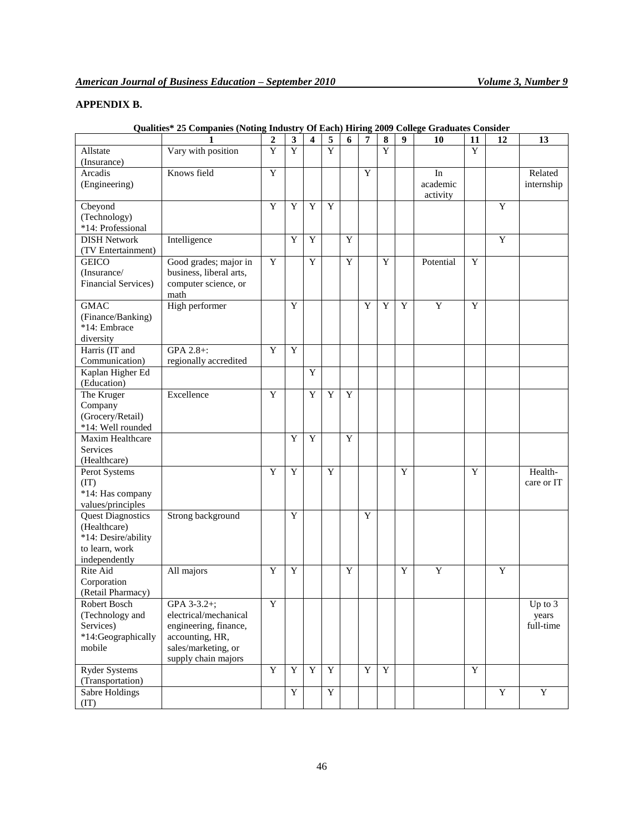# **APPENDIX B.**

|                            | 1                       | 2              |                     | 4           | 5              | 6 | 7           | 8              | 9 | 10        | 11          | 12             | 13          |
|----------------------------|-------------------------|----------------|---------------------|-------------|----------------|---|-------------|----------------|---|-----------|-------------|----------------|-------------|
|                            | Vary with position      | $\overline{Y}$ | 3<br>$\overline{Y}$ |             | $\overline{Y}$ |   |             | $\overline{Y}$ |   |           | Y           |                |             |
| Allstate                   |                         |                |                     |             |                |   |             |                |   |           |             |                |             |
| (Insurance)                |                         |                |                     |             |                |   |             |                |   |           |             |                |             |
| Arcadis                    | Knows field             | $\overline{Y}$ |                     |             |                |   | Y           |                |   | In        |             |                | Related     |
| (Engineering)              |                         |                |                     |             |                |   |             |                |   | academic  |             |                | internship  |
|                            |                         |                |                     |             |                |   |             |                |   | activity  |             |                |             |
| Cbeyond                    |                         | Y              | Y                   | Y           | Y              |   |             |                |   |           |             | Y              |             |
| (Technology)               |                         |                |                     |             |                |   |             |                |   |           |             |                |             |
| *14: Professional          |                         |                |                     |             |                |   |             |                |   |           |             |                |             |
| <b>DISH Network</b>        | Intelligence            |                | Y                   | Y           |                | Y |             |                |   |           |             | Y              |             |
| (TV Entertainment)         |                         |                |                     |             |                |   |             |                |   |           |             |                |             |
| <b>GEICO</b>               | Good grades; major in   | Y              |                     | $\mathbf Y$ |                | Y |             | Y              |   | Potential | Y           |                |             |
| (Insurance/                | business, liberal arts, |                |                     |             |                |   |             |                |   |           |             |                |             |
| <b>Financial Services)</b> | computer science, or    |                |                     |             |                |   |             |                |   |           |             |                |             |
|                            | math                    |                |                     |             |                |   |             |                |   |           |             |                |             |
| <b>GMAC</b>                | High performer          |                | Y                   |             |                |   | Y           | Y              | Y | Y         | Y           |                |             |
| (Finance/Banking)          |                         |                |                     |             |                |   |             |                |   |           |             |                |             |
|                            |                         |                |                     |             |                |   |             |                |   |           |             |                |             |
| *14: Embrace               |                         |                |                     |             |                |   |             |                |   |           |             |                |             |
| diversity                  |                         |                |                     |             |                |   |             |                |   |           |             |                |             |
| Harris (IT and             | GPA 2.8+:               | Y              | Y                   |             |                |   |             |                |   |           |             |                |             |
| Communication)             | regionally accredited   |                |                     |             |                |   |             |                |   |           |             |                |             |
| Kaplan Higher Ed           |                         |                |                     | Y           |                |   |             |                |   |           |             |                |             |
| (Education)                |                         |                |                     |             |                |   |             |                |   |           |             |                |             |
| The Kruger                 | Excellence              | Y              |                     | Y           | Y              | Y |             |                |   |           |             |                |             |
| Company                    |                         |                |                     |             |                |   |             |                |   |           |             |                |             |
| (Grocery/Retail)           |                         |                |                     |             |                |   |             |                |   |           |             |                |             |
| *14: Well rounded          |                         |                |                     |             |                |   |             |                |   |           |             |                |             |
| Maxim Healthcare           |                         |                | Y                   | Y           |                | Y |             |                |   |           |             |                |             |
| <b>Services</b>            |                         |                |                     |             |                |   |             |                |   |           |             |                |             |
| (Healthcare)               |                         |                |                     |             |                |   |             |                |   |           |             |                |             |
| Perot Systems              |                         | Y              | Y                   |             | Y              |   |             |                | Y |           | Y           |                | Health-     |
|                            |                         |                |                     |             |                |   |             |                |   |           |             |                |             |
| (TT)                       |                         |                |                     |             |                |   |             |                |   |           |             |                | care or IT  |
| *14: Has company           |                         |                |                     |             |                |   |             |                |   |           |             |                |             |
| values/principles          |                         |                |                     |             |                |   |             |                |   |           |             |                |             |
| <b>Quest Diagnostics</b>   | Strong background       |                | Y                   |             |                |   | Y           |                |   |           |             |                |             |
| (Healthcare)               |                         |                |                     |             |                |   |             |                |   |           |             |                |             |
| *14: Desire/ability        |                         |                |                     |             |                |   |             |                |   |           |             |                |             |
| to learn, work             |                         |                |                     |             |                |   |             |                |   |           |             |                |             |
| independently              |                         |                |                     |             |                |   |             |                |   |           |             |                |             |
| Rite Aid                   | All majors              | Y              | Y                   |             |                | Y |             |                | Y | Y         |             | Y              |             |
| Corporation                |                         |                |                     |             |                |   |             |                |   |           |             |                |             |
| (Retail Pharmacy)          |                         |                |                     |             |                |   |             |                |   |           |             |                |             |
| Robert Bosch               | GPA 3-3.2+;             | $\overline{Y}$ |                     |             |                |   |             |                |   |           |             |                | Up to 3     |
| (Technology and            | electrical/mechanical   |                |                     |             |                |   |             |                |   |           |             |                | years       |
| Services)                  | engineering, finance,   |                |                     |             |                |   |             |                |   |           |             |                | full-time   |
| *14:Geographically         | accounting, HR,         |                |                     |             |                |   |             |                |   |           |             |                |             |
| mobile                     | sales/marketing, or     |                |                     |             |                |   |             |                |   |           |             |                |             |
|                            | supply chain majors     |                |                     |             |                |   |             |                |   |           |             |                |             |
|                            |                         | $\mathbf Y$    | $\mathbf Y$         | $\mathbf Y$ | $\mathbf Y$    |   | $\mathbf Y$ | $\mathbf Y$    |   |           | $\mathbf Y$ |                |             |
| <b>Ryder Systems</b>       |                         |                |                     |             |                |   |             |                |   |           |             |                |             |
| (Transportation)           |                         |                |                     |             |                |   |             |                |   |           |             |                |             |
| Sabre Holdings             |                         |                | $\overline{Y}$      |             | $\overline{Y}$ |   |             |                |   |           |             | $\overline{Y}$ | $\mathbf Y$ |
| (TT)                       |                         |                |                     |             |                |   |             |                |   |           |             |                |             |

# **Qualities\* 25 Companies (Noting Industry Of Each) Hiring 2009 College Graduates Consider**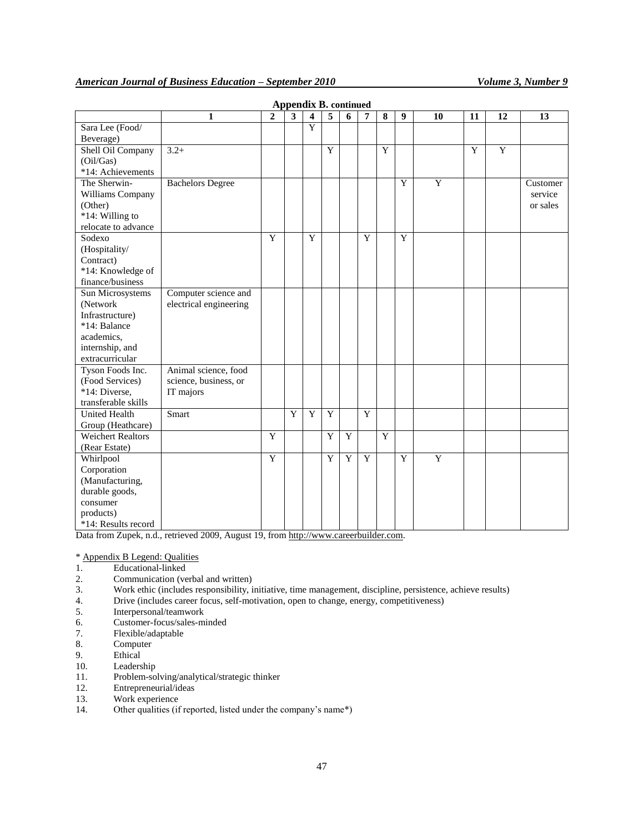|                                                                                                                                                                                                                                | 1                       | $\overline{2}$   | 3 | $\overline{\mathbf{4}}$ | 5           | 6      | 7      | 8                       | 9 | 10             | 11 | 12 | 13       |
|--------------------------------------------------------------------------------------------------------------------------------------------------------------------------------------------------------------------------------|-------------------------|------------------|---|-------------------------|-------------|--------|--------|-------------------------|---|----------------|----|----|----------|
| Sara Lee (Food/                                                                                                                                                                                                                |                         |                  |   | $\overline{Y}$          |             |        |        |                         |   |                |    |    |          |
| Beverage)                                                                                                                                                                                                                      |                         |                  |   |                         |             |        |        |                         |   |                |    |    |          |
| Shell Oil Company                                                                                                                                                                                                              | $3.2+$                  |                  |   |                         | Y           |        |        | $\overline{Y}$          |   |                | Y  | Y  |          |
| (Oil/Gas)                                                                                                                                                                                                                      |                         |                  |   |                         |             |        |        |                         |   |                |    |    |          |
| *14: Achievements                                                                                                                                                                                                              |                         |                  |   |                         |             |        |        |                         |   |                |    |    |          |
| The Sherwin-                                                                                                                                                                                                                   | <b>Bachelors Degree</b> |                  |   |                         |             |        |        |                         | Y | $\overline{Y}$ |    |    | Customer |
| Williams Company                                                                                                                                                                                                               |                         |                  |   |                         |             |        |        |                         |   |                |    |    | service  |
| (Other)                                                                                                                                                                                                                        |                         |                  |   |                         |             |        |        |                         |   |                |    |    | or sales |
| *14: Willing to                                                                                                                                                                                                                |                         |                  |   |                         |             |        |        |                         |   |                |    |    |          |
| relocate to advance                                                                                                                                                                                                            |                         |                  |   |                         |             |        |        |                         |   |                |    |    |          |
| Sodexo                                                                                                                                                                                                                         |                         | Y                |   | Y                       |             |        | Y      |                         | Y |                |    |    |          |
| (Hospitality/                                                                                                                                                                                                                  |                         |                  |   |                         |             |        |        |                         |   |                |    |    |          |
| Contract)                                                                                                                                                                                                                      |                         |                  |   |                         |             |        |        |                         |   |                |    |    |          |
| *14: Knowledge of                                                                                                                                                                                                              |                         |                  |   |                         |             |        |        |                         |   |                |    |    |          |
| finance/business                                                                                                                                                                                                               |                         |                  |   |                         |             |        |        |                         |   |                |    |    |          |
| Sun Microsystems                                                                                                                                                                                                               | Computer science and    |                  |   |                         |             |        |        |                         |   |                |    |    |          |
| (Network                                                                                                                                                                                                                       | electrical engineering  |                  |   |                         |             |        |        |                         |   |                |    |    |          |
| Infrastructure)                                                                                                                                                                                                                |                         |                  |   |                         |             |        |        |                         |   |                |    |    |          |
| *14: Balance                                                                                                                                                                                                                   |                         |                  |   |                         |             |        |        |                         |   |                |    |    |          |
| academics.                                                                                                                                                                                                                     |                         |                  |   |                         |             |        |        |                         |   |                |    |    |          |
| internship, and                                                                                                                                                                                                                |                         |                  |   |                         |             |        |        |                         |   |                |    |    |          |
| extracurricular                                                                                                                                                                                                                |                         |                  |   |                         |             |        |        |                         |   |                |    |    |          |
| Tyson Foods Inc.                                                                                                                                                                                                               | Animal science, food    |                  |   |                         |             |        |        |                         |   |                |    |    |          |
| (Food Services)                                                                                                                                                                                                                | science, business, or   |                  |   |                         |             |        |        |                         |   |                |    |    |          |
| *14: Diverse,                                                                                                                                                                                                                  | IT majors               |                  |   |                         |             |        |        |                         |   |                |    |    |          |
|                                                                                                                                                                                                                                |                         |                  |   |                         |             |        |        |                         |   |                |    |    |          |
|                                                                                                                                                                                                                                |                         |                  |   |                         |             |        |        |                         |   |                |    |    |          |
|                                                                                                                                                                                                                                |                         |                  |   |                         |             |        |        |                         |   |                |    |    |          |
|                                                                                                                                                                                                                                |                         |                  |   |                         |             |        |        |                         |   |                |    |    |          |
|                                                                                                                                                                                                                                |                         |                  |   |                         |             |        |        |                         |   |                |    |    |          |
|                                                                                                                                                                                                                                |                         |                  |   |                         |             |        |        |                         |   |                |    |    |          |
|                                                                                                                                                                                                                                |                         |                  |   |                         |             |        |        |                         |   |                |    |    |          |
|                                                                                                                                                                                                                                |                         |                  |   |                         |             |        |        |                         |   |                |    |    |          |
|                                                                                                                                                                                                                                |                         |                  |   |                         |             |        |        |                         |   |                |    |    |          |
|                                                                                                                                                                                                                                |                         |                  |   |                         |             |        |        |                         |   |                |    |    |          |
|                                                                                                                                                                                                                                |                         |                  |   |                         |             |        |        |                         |   |                |    |    |          |
| transferable skills<br><b>United Health</b><br>Group (Heathcare)<br><b>Weichert Realtors</b><br>(Rear Estate)<br>Whirlpool<br>Corporation<br>(Manufacturing,<br>durable goods,<br>consumer<br>products)<br>*14: Results record | Smart                   | Y<br>$\mathbf Y$ | Y | Y                       | Y<br>Y<br>Y | Y<br>Y | Y<br>Y | $\overline{\mathrm{Y}}$ | Y | $\overline{Y}$ |    |    |          |

### **Appendix B. continued**

Data from Zupek, n.d., retrieved 2009, August 19, fro[m http://www.careerbuilder.com.](http://www.careerbuilder.com/)

\* Appendix B Legend: Qualities

- 1. Educational-linked<br>2. Communication (ve
- 2. Communication (verbal and written)<br>3. Work ethic (includes responsibility, i
- 3. Work ethic (includes responsibility, initiative, time management, discipline, persistence, achieve results)
- 4. Drive (includes career focus, self-motivation, open to change, energy, competitiveness)
- 5. Interpersonal/teamwork
- 6. Customer-focus/sales-minded
- 7. Flexible/adaptable
- 8. Computer
- 9. Ethical<br>10. Leaders
- Leadership
- 11. Problem-solving/analytical/strategic thinker
- 12. Entrepreneurial/ideas
- 13. Work experience
- 14. Other qualities (if reported, listed under the company's name\*)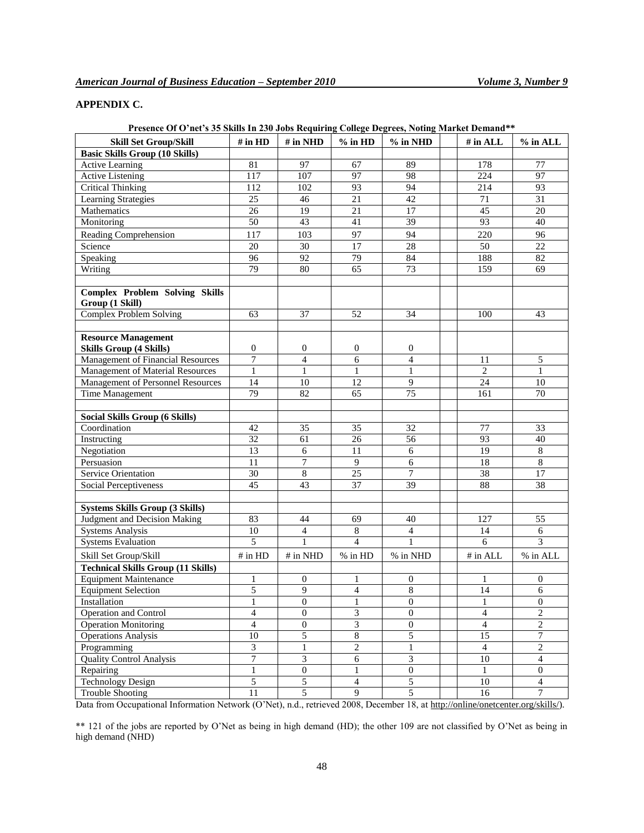# **APPENDIX C.**

| Presence Of O'net's 35 Skills In 230 Jobs Requiring College Degrees, Noting Market Demand** |                          |                             |                         |                  |  |                          |                  |  |  |  |  |
|---------------------------------------------------------------------------------------------|--------------------------|-----------------------------|-------------------------|------------------|--|--------------------------|------------------|--|--|--|--|
| <b>Skill Set Group/Skill</b>                                                                | $#$ in $HD$              | $#$ in NHD                  | $%$ in HD<br>$%$ in NHD |                  |  | $#$ in ALL               | $%$ in ALL       |  |  |  |  |
| <b>Basic Skills Group (10 Skills)</b>                                                       |                          |                             |                         |                  |  |                          |                  |  |  |  |  |
| <b>Active Learning</b>                                                                      | 81                       | 97                          | 67                      | 89               |  | 178                      | 77               |  |  |  |  |
| <b>Active Listening</b>                                                                     | 117                      | 107                         | 97                      | 98               |  | 224                      | 97               |  |  |  |  |
| <b>Critical Thinking</b>                                                                    | 112                      | 102                         | 93                      | 94               |  | 214                      | 93               |  |  |  |  |
| <b>Learning Strategies</b>                                                                  | 25                       | 46                          | 21                      | 42               |  | 71                       | 31               |  |  |  |  |
| Mathematics                                                                                 | 26                       | 19                          | 21                      | 17               |  | 45                       | 20               |  |  |  |  |
| Monitoring                                                                                  | 50                       | 43                          | 41                      | 39               |  | 93                       | 40               |  |  |  |  |
| Reading Comprehension                                                                       | 117                      | 103                         | 97                      | 94               |  | 220                      | 96               |  |  |  |  |
| Science                                                                                     | 20                       | 30                          | 17                      | 28               |  | 50                       | 22               |  |  |  |  |
|                                                                                             | $\overline{96}$          | $\overline{92}$             | 79                      | 84               |  | 188                      |                  |  |  |  |  |
| Speaking                                                                                    |                          |                             |                         |                  |  |                          | 82               |  |  |  |  |
| Writing                                                                                     | 79                       | 80                          | 65                      | 73               |  | 159                      | 69               |  |  |  |  |
|                                                                                             |                          |                             |                         |                  |  |                          |                  |  |  |  |  |
| <b>Complex Problem Solving Skills</b>                                                       |                          |                             |                         |                  |  |                          |                  |  |  |  |  |
| Group (1 Skill)                                                                             |                          |                             |                         |                  |  |                          |                  |  |  |  |  |
| <b>Complex Problem Solving</b>                                                              | 63                       | $\overline{37}$             | 52                      | 34               |  | 100                      | 43               |  |  |  |  |
|                                                                                             |                          |                             |                         |                  |  |                          |                  |  |  |  |  |
| <b>Resource Management</b>                                                                  |                          |                             |                         |                  |  |                          |                  |  |  |  |  |
| <b>Skills Group (4 Skills)</b>                                                              | $\boldsymbol{0}$         | $\boldsymbol{0}$            | $\boldsymbol{0}$        | $\mathbf{0}$     |  |                          |                  |  |  |  |  |
| <b>Management of Financial Resources</b>                                                    | 7                        | $\overline{4}$              | 6                       | $\overline{4}$   |  | 11                       | 5                |  |  |  |  |
| Management of Material Resources                                                            | $\mathbf{1}$             | $\mathbf{1}$                | $\mathbf{1}$            | $\mathbf{1}$     |  | $\overline{2}$           | $\mathbf{1}$     |  |  |  |  |
| Management of Personnel Resources                                                           | 14                       | 10                          | 12                      | 9                |  | 24                       | 10               |  |  |  |  |
| Time Management                                                                             | 79                       | 82                          | 65                      | 75               |  | 161                      | 70               |  |  |  |  |
|                                                                                             |                          |                             |                         |                  |  |                          |                  |  |  |  |  |
| <b>Social Skills Group (6 Skills)</b>                                                       |                          |                             |                         |                  |  |                          |                  |  |  |  |  |
| Coordination                                                                                | 42                       | 35                          | 35                      | 32               |  | 77                       | 33               |  |  |  |  |
| Instructing                                                                                 | 32                       | 61                          | 26                      | 56               |  | 93                       | 40               |  |  |  |  |
| Negotiation                                                                                 | 13                       | 6                           | 11                      | 6                |  | 19                       | $\,8$            |  |  |  |  |
| Persuasion                                                                                  | 11                       | 7                           | 9                       | $\sqrt{6}$       |  | 18                       | $\,8$            |  |  |  |  |
| <b>Service Orientation</b>                                                                  | 30                       | 8                           | 25                      | $\overline{7}$   |  | 38                       | 17               |  |  |  |  |
| Social Perceptiveness                                                                       | 45                       | 43                          | 37                      | 39               |  | 88                       | 38               |  |  |  |  |
|                                                                                             |                          |                             |                         |                  |  |                          |                  |  |  |  |  |
| <b>Systems Skills Group (3 Skills)</b>                                                      |                          |                             |                         |                  |  |                          |                  |  |  |  |  |
| Judgment and Decision Making                                                                | 83                       | 44                          | 69                      | 40               |  | 127                      | 55               |  |  |  |  |
| <b>Systems Analysis</b>                                                                     | 10                       | $\overline{4}$              | $\,$ 8 $\,$             | $\overline{4}$   |  | 14                       | 6                |  |  |  |  |
| <b>Systems Evaluation</b>                                                                   | 5                        | $\mathbf{1}$                | $\overline{4}$          | $\mathbf{1}$     |  | 6                        | 3                |  |  |  |  |
|                                                                                             |                          |                             |                         |                  |  |                          |                  |  |  |  |  |
| Skill Set Group/Skill                                                                       | # in HD                  | # in NHD                    | % in HD                 | % in NHD         |  | # in ALL                 | % in ALL         |  |  |  |  |
| <b>Technical Skills Group (11 Skills)</b>                                                   |                          |                             |                         |                  |  |                          |                  |  |  |  |  |
| <b>Equipment Maintenance</b>                                                                | 1                        | $\boldsymbol{0}$            | 1                       | $\mathbf{0}$     |  | 1                        | $\boldsymbol{0}$ |  |  |  |  |
| <b>Equipment Selection</b>                                                                  | 5                        | 9                           | $\overline{4}$          | 8                |  | 14                       | 6                |  |  |  |  |
| Installation                                                                                | 1                        | 0                           | 1                       | 0                |  | 1                        | 0                |  |  |  |  |
| Operation and Control                                                                       | $\overline{\mathcal{L}}$ | $\boldsymbol{0}$            | $\mathfrak{Z}$          | $\boldsymbol{0}$ |  | $\overline{\mathcal{L}}$ | $\overline{c}$   |  |  |  |  |
| Operation Monitoring                                                                        | $\overline{\mathbf{4}}$  | $\boldsymbol{0}$            | $\overline{3}$          | $\overline{0}$   |  | $\overline{4}$           | $\overline{c}$   |  |  |  |  |
| <b>Operations Analysis</b>                                                                  | 10                       | 5                           | $\sqrt{8}$              | $\overline{5}$   |  | $\overline{15}$          | 7                |  |  |  |  |
| Programming                                                                                 | 3                        | $\,1\,$                     | $\overline{2}$          | $\mathbf{1}$     |  | $\overline{4}$           | $\overline{c}$   |  |  |  |  |
| <b>Quality Control Analysis</b>                                                             | $\boldsymbol{7}$         | $\ensuremath{\mathfrak{Z}}$ | 6                       | 3                |  | $10\,$                   | $\overline{4}$   |  |  |  |  |
| Repairing                                                                                   | $\mathbf{1}$             | $\overline{0}$              | $\mathbf{1}$            | $\overline{0}$   |  | 1                        | $\overline{0}$   |  |  |  |  |
| <b>Technology Design</b>                                                                    | 5                        | 5                           | $\overline{4}$          | 5                |  | $10\,$                   | $\overline{4}$   |  |  |  |  |
| <b>Trouble Shooting</b>                                                                     | 11                       | $\overline{5}$              | $\overline{9}$          | $\overline{5}$   |  | 16                       | $\overline{7}$   |  |  |  |  |

# **Presence Of O'net's 35 Skills In 230 Jobs Requiring College Degrees, Noting Market Demand\*\***

Data from Occupational Information Network (O"Net), n.d., retrieved 2008, December 18, a[t http://online/onetcenter.org/skills/\)](http://online/onetcenter.org/skills/).

\*\* 121 of the jobs are reported by O"Net as being in high demand (HD); the other 109 are not classified by O"Net as being in high demand (NHD)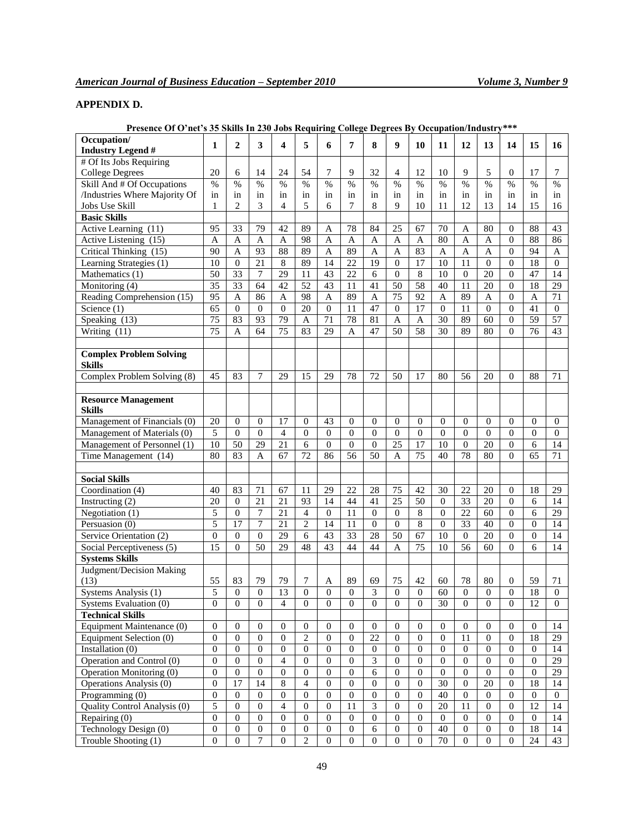# **APPENDIX D.**

| Occupation/                                         | 1                | $\mathbf{2}$     | 3                | 4                | 5                | 6                | 7                | 8                | 9                | 10               | 11               | 12               | 13               | 14               | 15               | 16               |
|-----------------------------------------------------|------------------|------------------|------------------|------------------|------------------|------------------|------------------|------------------|------------------|------------------|------------------|------------------|------------------|------------------|------------------|------------------|
| <b>Industry Legend #</b><br># Of Its Jobs Requiring |                  |                  |                  |                  |                  |                  |                  |                  |                  |                  |                  |                  |                  |                  |                  |                  |
| <b>College Degrees</b>                              | 20               | 6                | 14               | 24               | 54               | 7                | 9                | 32               | $\overline{4}$   | 12               | 10               | 9                | 5                | $\theta$         | 17               | 7                |
| Skill And # Of Occupations                          | $\%$             | $\%$             | $\%$             | $\%$             | $\%$             | $\%$             | $\%$             | $\%$             | $\%$             | $\%$             | $\%$             | $\%$             | $\%$             | $\%$             | $\%$             | $\%$             |
| /Industries Where Majority Of                       | in               | in               | in               | in               | in               | in               | in               | in               | in               | in               | in               | in               | in               | in               | in               | in               |
| Jobs Use Skill                                      | 1                | $\overline{2}$   | 3                | 4                | 5                | 6                | 7                | 8                | 9                | 10               | 11               | 12               | 13               | 14               | 15               | 16               |
| <b>Basic Skills</b>                                 |                  |                  |                  |                  |                  |                  |                  |                  |                  |                  |                  |                  |                  |                  |                  |                  |
| Active Learning (11)                                | 95               | 33               | 79               | 42               | 89               | A                | 78               | 84               | 25               | 67               | 70               | Α                | 80               | $\theta$         | 88               | 43               |
| Active Listening (15)                               | A                | $\mathsf{A}$     | $\mathbf{A}$     | $\mathbf{A}$     | 98               | A                | $\mathbf{A}$     | Α                | $\mathbf{A}$     | $\mathbf{A}$     | 80               | Α                | $\mathbf{A}$     | $\mathbf{0}$     | 88               | 86               |
| Critical Thinking (15)                              | 90               | $\mathbf{A}$     | 93               | 88               | 89               | $\mathbf{A}$     | 89               | A                | $\mathbf{A}$     | 83               | A                | $\mathbf{A}$     | $\mathbf{A}$     | $\mathbf{0}$     | 94               | $\mathbf{A}$     |
| Learning Strategies (1)                             | 10               | $\Omega$         | 21               | 8                | 89               | 14               | 22               | 19               | $\theta$         | 17               | 10               | 11               | $\Omega$         | $\mathbf{0}$     | 18               | $\Omega$         |
| Mathematics (1)                                     | $\overline{50}$  | $\overline{33}$  | $\boldsymbol{7}$ | $\overline{29}$  | $\overline{11}$  | $\overline{43}$  | $\overline{22}$  | 6                | $\overline{0}$   | $\,$ 8 $\,$      | $\overline{10}$  | $\boldsymbol{0}$ | $\overline{20}$  | $\overline{0}$   | 47               | 14               |
| Monitoring (4)                                      | 35               | 33               | 64               | 42               | 52               | 43               | 11               | 41               | 50               | 58               | 40               | 11               | 20               | $\boldsymbol{0}$ | 18               | 29               |
| Reading Comprehension (15)                          | 95               | A                | 86               | $\mathbf{A}$     | 98               | A                | 89               | A                | $\overline{75}$  | 92               | A                | 89               | A                | $\boldsymbol{0}$ | A                | 71               |
| Science (1)                                         | 65               | $\boldsymbol{0}$ | $\mathbf{0}$     | $\boldsymbol{0}$ | 20               | $\boldsymbol{0}$ | 11               | 47               | $\boldsymbol{0}$ | 17               | $\boldsymbol{0}$ | 11               | $\mathbf{0}$     | $\mathbf{0}$     | 41               | $\overline{0}$   |
| Speaking $(13)$                                     | $\overline{75}$  | 83               | 93               | $\overline{79}$  | A                | $\overline{71}$  | 78               | 81               | $\mathbf{A}$     | $\mathbf{A}$     | 30               | 89               | 60               | $\boldsymbol{0}$ | $\overline{59}$  | $\overline{57}$  |
| Writing (11)                                        | 75               | A                | 64               | 75               | 83               | 29               | A                | 47               | 50               | $\overline{58}$  | 30               | 89               | 80               | $\mathbf{0}$     | 76               | 43               |
| <b>Complex Problem Solving</b><br><b>Skills</b>     |                  |                  |                  |                  |                  |                  |                  |                  |                  |                  |                  |                  |                  |                  |                  |                  |
| Complex Problem Solving (8)                         | 45               | 83               | 7                | 29               | 15               | 29               | 78               | 72               | 50               | 17               | 80               | 56               | 20               | $\Omega$         | 88               | 71               |
|                                                     |                  |                  |                  |                  |                  |                  |                  |                  |                  |                  |                  |                  |                  |                  |                  |                  |
| <b>Resource Management</b><br><b>Skills</b>         |                  |                  |                  |                  |                  |                  |                  |                  |                  |                  |                  |                  |                  |                  |                  |                  |
| Management of Financials (0)                        | 20               | $\overline{0}$   | $\mathbf{0}$     | 17               | $\overline{0}$   | 43               | $\mathbf{0}$     | $\mathbf{0}$     | $\overline{0}$   | $\mathbf{0}$     | $\mathbf{0}$     | $\mathbf{0}$     | $\mathbf{0}$     | $\mathbf{0}$     | $\mathbf{0}$     | $\mathbf{0}$     |
| Management of Materials (0)                         | 5                | $\Omega$         | $\mathbf{0}$     | $\overline{4}$   | $\overline{0}$   | $\overline{0}$   | $\Omega$         | $\theta$         | $\mathbf{0}$     | $\mathbf{0}$     | $\Omega$         | $\mathbf{0}$     | $\overline{0}$   | $\overline{0}$   | $\Omega$         | $\Omega$         |
| Management of Personnel (1)                         | $\overline{10}$  | $\overline{50}$  | $\overline{29}$  | $\overline{21}$  | 6                | $\mathbf{0}$     | $\boldsymbol{0}$ | $\boldsymbol{0}$ | $\overline{25}$  | $\overline{17}$  | 10               | $\boldsymbol{0}$ | $\overline{20}$  | $\boldsymbol{0}$ | 6                | $\overline{14}$  |
| Time Management (14)                                | 80               | 83               | A                | 67               | 72               | 86               | 56               | 50               | A                | 75               | 40               | 78               | 80               | $\Omega$         | 65               | 71               |
| <b>Social Skills</b>                                |                  |                  |                  |                  |                  |                  |                  |                  |                  |                  |                  |                  |                  |                  |                  |                  |
| Coordination (4)                                    | 40               | 83               | 71               | 67               | 11               | 29               | 22               | 28               | 75               | 42               | 30               | 22               | 20               | $\mathbf{0}$     | 18               | 29               |
| Instructing $(2)$                                   | 20               | $\overline{0}$   | $\overline{21}$  | 21               | 93               | 14               | 44               | 41               | 25               | 50               | $\overline{0}$   | 33               | 20               | $\mathbf{0}$     | 6                | 14               |
| Negotiation (1)                                     | 5                | $\mathbf{0}$     | 7                | 21               | $\overline{4}$   | $\boldsymbol{0}$ | 11               | $\boldsymbol{0}$ | $\boldsymbol{0}$ | $\,$ 8 $\,$      | $\mathbf{0}$     | 22               | 60               | $\mathbf{0}$     | 6                | 29               |
| Persuasion (0)                                      | 5                | 17               | $\overline{7}$   | 21               | $\overline{c}$   | 14               | 11               | $\mathbf{0}$     | $\overline{0}$   | 8                | $\overline{0}$   | $\overline{33}$  | 40               | $\mathbf{0}$     | $\Omega$         | 14               |
| Service Orientation (2)                             | $\overline{0}$   | $\overline{0}$   | $\overline{0}$   | 29               | 6                | 43               | $\overline{33}$  | 28               | 50               | 67               | 10               | $\boldsymbol{0}$ | 20               | $\mathbf{0}$     | $\Omega$         | 14               |
| Social Perceptiveness (5)                           | $\overline{15}$  | $\theta$         | 50               | 29               | 48               | 43               | 44               | 44               | A                | $\overline{75}$  | 10               | 56               | 60               | $\Omega$         | 6                | 14               |
| <b>Systems Skills</b>                               |                  |                  |                  |                  |                  |                  |                  |                  |                  |                  |                  |                  |                  |                  |                  |                  |
| Judgment/Decision Making                            |                  |                  |                  |                  |                  |                  |                  |                  |                  |                  |                  |                  |                  |                  |                  |                  |
| (13)                                                | 55               | 83               | 79               | 79               | 7                | A                | 89               | 69               | 75               | 42               | 60               | 78               | 80               | $\overline{0}$   | 59               | 71               |
| Systems Analysis (1)                                | 5                | $\boldsymbol{0}$ | $\boldsymbol{0}$ | 13               | $\boldsymbol{0}$ | $\boldsymbol{0}$ | $\boldsymbol{0}$ | 3                | $\boldsymbol{0}$ | $\boldsymbol{0}$ | 60               | $\boldsymbol{0}$ | $\boldsymbol{0}$ | $\boldsymbol{0}$ | 18               | $\boldsymbol{0}$ |
| Systems Evaluation (0)                              | $\overline{0}$   | $\boldsymbol{0}$ | $\boldsymbol{0}$ | $\overline{4}$   | $\boldsymbol{0}$ | $\boldsymbol{0}$ | $\boldsymbol{0}$ | $\boldsymbol{0}$ | $\boldsymbol{0}$ | $\boldsymbol{0}$ | $\overline{30}$  | $\overline{0}$   | $\boldsymbol{0}$ | $\boldsymbol{0}$ | $\overline{12}$  | $\boldsymbol{0}$ |
| <b>Technical Skills</b>                             |                  |                  |                  |                  |                  |                  |                  |                  |                  |                  |                  |                  |                  |                  |                  |                  |
| Equipment Maintenance (0)                           | $\mathbf{0}$     | $\mathbf{0}$     | $\theta$         | $\theta$         | 0                | $\mathbf{0}$     | $\mathbf{0}$     | 0                | $\mathbf{0}$     | 0                | $\mathbf{0}$     | 0                | $\mathbf{0}$     | $\overline{0}$   | $\bf{0}$         | 14               |
| Equipment Selection (0)                             | $\boldsymbol{0}$ | $\mathbf{0}$     | $\boldsymbol{0}$ | $\boldsymbol{0}$ | $\boldsymbol{2}$ | $\mathbf{0}$     | $\boldsymbol{0}$ | 22               | $\overline{0}$   | $\boldsymbol{0}$ | $\mathbf{0}$     | 11               | $\mathbf{0}$     | $\mathbf{0}$     | 18               | 29               |
| Installation (0)                                    | $\boldsymbol{0}$ | $\overline{0}$   | $\mathbf{0}$     | $\overline{0}$   | $\overline{0}$   | $\mathbf{0}$     | $\mathbf{0}$     | $\boldsymbol{0}$ | $\overline{0}$   | $\mathbf{0}$     | $\mathbf{0}$     | $\overline{0}$   | $\mathbf{0}$     | $\overline{0}$   | $\overline{0}$   | 14               |
| Operation and Control (0)                           | $\boldsymbol{0}$ | $\Omega$         | $\mathbf{0}$     | $\overline{4}$   | $\overline{0}$   | $\theta$         | $\mathbf{0}$     | $\overline{3}$   | $\overline{0}$   | $\mathbf{0}$     | $\overline{0}$   | $\overline{0}$   | $\mathbf{0}$     | $\overline{0}$   | $\theta$         | $\overline{29}$  |
| Operation Monitoring (0)                            | $\overline{0}$   | $\boldsymbol{0}$ | $\overline{0}$   | $\boldsymbol{0}$ | $\boldsymbol{0}$ | $\overline{0}$   | $\overline{0}$   | 6                | $\overline{0}$   | $\overline{0}$   | $\overline{0}$   | $\mathbf{0}$     | $\overline{0}$   | $\mathbf{0}$     | $\boldsymbol{0}$ | $\overline{29}$  |
| Operations Analysis (0)                             | $\boldsymbol{0}$ | 17               | 14               | $\,8\,$          | $\overline{4}$   | $\mathbf{0}$     | $\mathbf{0}$     | $\boldsymbol{0}$ | $\overline{0}$   | $\boldsymbol{0}$ | $\overline{30}$  | $\overline{0}$   | $\overline{20}$  | $\overline{0}$   | 18               | 14               |
| Programming (0)                                     | $\boldsymbol{0}$ | $\mathbf{0}$     | $\mathbf{0}$     | $\theta$         | $\overline{0}$   | $\theta$         | $\boldsymbol{0}$ | $\mathbf{0}$     | $\overline{0}$   | $\mathbf{0}$     | 40               | $\mathbf{0}$     | $\overline{0}$   | $\overline{0}$   | $\overline{0}$   | $\overline{0}$   |
| Quality Control Analysis (0)                        | 5                | $\boldsymbol{0}$ | $\overline{0}$   | $\overline{4}$   | $\boldsymbol{0}$ | $\mathbf{0}$     | 11               | $\overline{3}$   | $\boldsymbol{0}$ | $\overline{0}$   | $20\,$           | $11\,$           | $\boldsymbol{0}$ | $\mathbf{0}$     | 12               | 14               |
| Repairing (0)                                       | $\overline{0}$   | $\overline{0}$   | $\mathbf{0}$     | $\mathbf{0}$     | $\overline{0}$   | $\mathbf{0}$     | $\mathbf{0}$     | $\mathbf{0}$     | $\overline{0}$   | $\boldsymbol{0}$ | $\mathbf{0}$     | $\overline{0}$   | $\mathbf{0}$     | $\overline{0}$   | $\overline{0}$   | 14               |
| Technology Design (0)                               | $\overline{0}$   | $\overline{0}$   | $\overline{0}$   | $\boldsymbol{0}$ | $\boldsymbol{0}$ | $\boldsymbol{0}$ | $\boldsymbol{0}$ | 6                | $\boldsymbol{0}$ | $\overline{0}$   | 40               | $\boldsymbol{0}$ | $\boldsymbol{0}$ | $\mathbf{0}$     | 18               | 14               |
| Trouble Shooting (1)                                | $\boldsymbol{0}$ | $\boldsymbol{0}$ | $\tau$           | $\boldsymbol{0}$ | $\overline{c}$   | $\boldsymbol{0}$ | $\boldsymbol{0}$ | $\boldsymbol{0}$ | $\mathbf{0}$     | $\boldsymbol{0}$ | $70\,$           | $\mathbf{0}$     | $\boldsymbol{0}$ | $\boldsymbol{0}$ | 24               | 43               |

**Presence Of O'net's 35 Skills In 230 Jobs Requiring College Degrees By Occupation/Industry\*\*\***